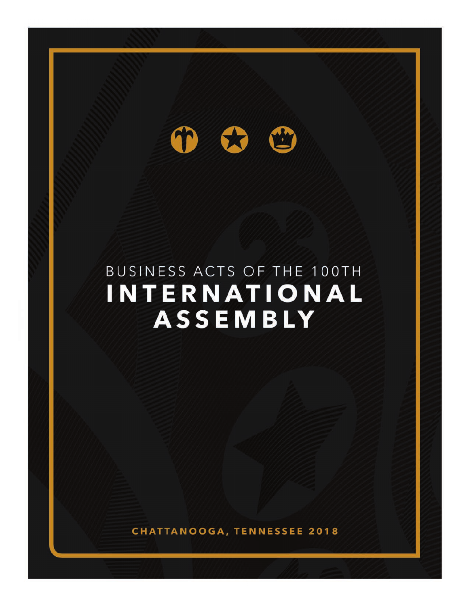#### CC 69

BUSINESS ACTS **2018 100th INTERNATIONAL ASSEMBLY**

## BUSINESS ACTS OF THE 100TH **INTERNATIONAL** ASSEMBLY

**CHATTANOOGA, TENNESSEE 2018**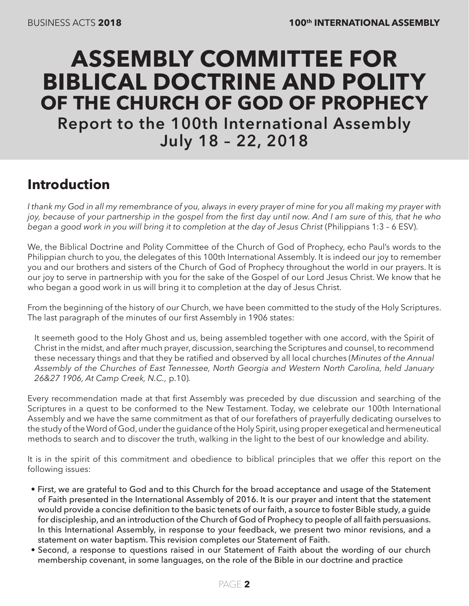## **ASSEMBLY COMMITTEE FOR BIBLICAL DOCTRINE AND POLITY OF THE CHURCH OF GOD OF PROPHECY Report to the 100th International Assembly July 18 – 22, 2018**

### **Introduction**

*I thank my God in all my remembrance of you, always in every prayer of mine for you all making my prayer with joy, because of your partnership in the gospel from the first day until now. And I am sure of this, that he who*  began a good work in you will bring it to completion at the day of Jesus Christ (Philippians 1:3 - 6 ESV).

We, the Biblical Doctrine and Polity Committee of the Church of God of Prophecy, echo Paul's words to the Philippian church to you, the delegates of this 100th International Assembly. It is indeed our joy to remember you and our brothers and sisters of the Church of God of Prophecy throughout the world in our prayers. It is our joy to serve in partnership with you for the sake of the Gospel of our Lord Jesus Christ. We know that he who began a good work in us will bring it to completion at the day of Jesus Christ.

From the beginning of the history of our Church, we have been committed to the study of the Holy Scriptures. The last paragraph of the minutes of our first Assembly in 1906 states:

It seemeth good to the Holy Ghost and us, being assembled together with one accord, with the Spirit of Christ in the midst, and after much prayer, discussion, searching the Scriptures and counsel, to recommend these necessary things and that they be ratified and observed by all local churches (*Minutes of the Annual Assembly of the Churches of East Tennessee, North Georgia and Western North Carolina, held January 26&27 1906, At Camp Creek, N.C.,* p.10)*.*

Every recommendation made at that first Assembly was preceded by due discussion and searching of the Scriptures in a quest to be conformed to the New Testament. Today, we celebrate our 100th International Assembly and we have the same commitment as that of our forefathers of prayerfully dedicating ourselves to the study of the Word of God, under the guidance of the Holy Spirit, using proper exegetical and hermeneutical methods to search and to discover the truth, walking in the light to the best of our knowledge and ability.

It is in the spirit of this commitment and obedience to biblical principles that we offer this report on the following issues:

- First, we are grateful to God and to this Church for the broad acceptance and usage of the Statement of Faith presented in the International Assembly of 2016. It is our prayer and intent that the statement would provide a concise definition to the basic tenets of our faith, a source to foster Bible study, a guide for discipleship, and an introduction of the Church of God of Prophecy to people of all faith persuasions. In this International Assembly, in response to your feedback, we present two minor revisions, and a statement on water baptism. This revision completes our Statement of Faith.
- Second, a response to questions raised in our Statement of Faith about the wording of our church membership covenant, in some languages, on the role of the Bible in our doctrine and practice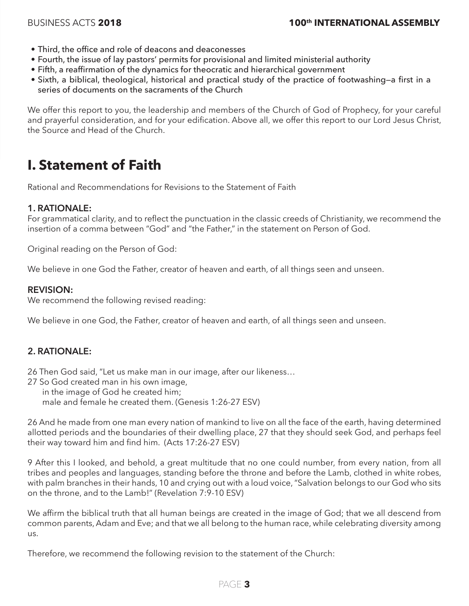- Third, the office and role of deacons and deaconesses
- Fourth, the issue of lay pastors' permits for provisional and limited ministerial authority
- Fifth, a reaffirmation of the dynamics for theocratic and hierarchical government
- Sixth, a biblical, theological, historical and practical study of the practice of footwashing—a first in a series of documents on the sacraments of the Church

We offer this report to you, the leadership and members of the Church of God of Prophecy, for your careful and prayerful consideration, and for your edification. Above all, we offer this report to our Lord Jesus Christ, the Source and Head of the Church.

#### **I. Statement of Faith**

Rational and Recommendations for Revisions to the Statement of Faith

#### **1. RATIONALE:**

For grammatical clarity, and to reflect the punctuation in the classic creeds of Christianity, we recommend the insertion of a comma between "God" and "the Father," in the statement on Person of God.

Original reading on the Person of God:

We believe in one God the Father, creator of heaven and earth, of all things seen and unseen.

#### **REVISION:**

We recommend the following revised reading:

We believe in one God, the Father, creator of heaven and earth, of all things seen and unseen.

#### **2. RATIONALE:**

26 Then God said, "Let us make man in our image, after our likeness…

- 27 So God created man in his own image,
	- in the image of God he created him;

male and female he created them. (Genesis 1:26-27 ESV)

26 And he made from one man every nation of mankind to live on all the face of the earth, having determined allotted periods and the boundaries of their dwelling place, 27 that they should seek God, and perhaps feel their way toward him and find him. (Acts 17:26-27 ESV)

9 After this I looked, and behold, a great multitude that no one could number, from every nation, from all tribes and peoples and languages, standing before the throne and before the Lamb, clothed in white robes, with palm branches in their hands, 10 and crying out with a loud voice, "Salvation belongs to our God who sits on the throne, and to the Lamb!" (Revelation 7:9-10 ESV)

We affirm the biblical truth that all human beings are created in the image of God; that we all descend from common parents, Adam and Eve; and that we all belong to the human race, while celebrating diversity among us.

Therefore, we recommend the following revision to the statement of the Church:

#### PAGE **3**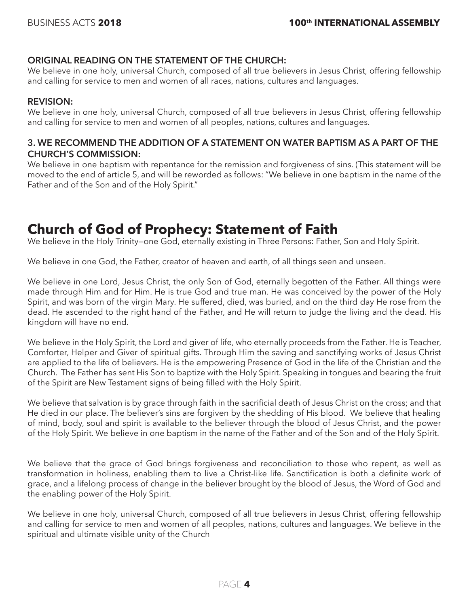#### **ORIGINAL READING ON THE STATEMENT OF THE CHURCH:**

We believe in one holy, universal Church, composed of all true believers in Jesus Christ, offering fellowship and calling for service to men and women of all races, nations, cultures and languages.

#### **REVISION:**

We believe in one holy, universal Church, composed of all true believers in Jesus Christ, offering fellowship and calling for service to men and women of all peoples, nations, cultures and languages.

#### **3. WE RECOMMEND THE ADDITION OF A STATEMENT ON WATER BAPTISM AS A PART OF THE CHURCH'S COMMISSION:**

We believe in one baptism with repentance for the remission and forgiveness of sins. (This statement will be moved to the end of article 5, and will be reworded as follows: "We believe in one baptism in the name of the Father and of the Son and of the Holy Spirit."

#### **Church of God of Prophecy: Statement of Faith**

We believe in the Holy Trinity–one God, eternally existing in Three Persons: Father, Son and Holy Spirit.

We believe in one God, the Father, creator of heaven and earth, of all things seen and unseen.

We believe in one Lord, Jesus Christ, the only Son of God, eternally begotten of the Father. All things were made through Him and for Him. He is true God and true man. He was conceived by the power of the Holy Spirit, and was born of the virgin Mary. He suffered, died, was buried, and on the third day He rose from the dead. He ascended to the right hand of the Father, and He will return to judge the living and the dead. His kingdom will have no end.

We believe in the Holy Spirit, the Lord and giver of life, who eternally proceeds from the Father. He is Teacher, Comforter, Helper and Giver of spiritual gifts. Through Him the saving and sanctifying works of Jesus Christ are applied to the life of believers. He is the empowering Presence of God in the life of the Christian and the Church. The Father has sent His Son to baptize with the Holy Spirit. Speaking in tongues and bearing the fruit of the Spirit are New Testament signs of being filled with the Holy Spirit.

We believe that salvation is by grace through faith in the sacrificial death of Jesus Christ on the cross; and that He died in our place. The believer's sins are forgiven by the shedding of His blood. We believe that healing of mind, body, soul and spirit is available to the believer through the blood of Jesus Christ, and the power of the Holy Spirit. We believe in one baptism in the name of the Father and of the Son and of the Holy Spirit.

We believe that the grace of God brings forgiveness and reconciliation to those who repent, as well as transformation in holiness, enabling them to live a Christ-like life. Sanctification is both a definite work of grace, and a lifelong process of change in the believer brought by the blood of Jesus, the Word of God and the enabling power of the Holy Spirit.

We believe in one holy, universal Church, composed of all true believers in Jesus Christ, offering fellowship and calling for service to men and women of all peoples, nations, cultures and languages. We believe in the spiritual and ultimate visible unity of the Church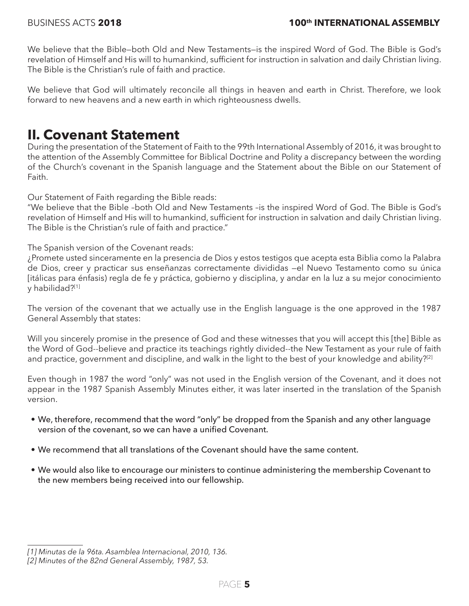We believe that the Bible—both Old and New Testaments—is the inspired Word of God. The Bible is God's revelation of Himself and His will to humankind, sufficient for instruction in salvation and daily Christian living. The Bible is the Christian's rule of faith and practice.

We believe that God will ultimately reconcile all things in heaven and earth in Christ. Therefore, we look forward to new heavens and a new earth in which righteousness dwells.

#### **II. Covenant Statement**

During the presentation of the Statement of Faith to the 99th International Assembly of 2016, it was brought to the attention of the Assembly Committee for Biblical Doctrine and Polity a discrepancy between the wording of the Church's covenant in the Spanish language and the Statement about the Bible on our Statement of Faith.

Our Statement of Faith regarding the Bible reads:

"We believe that the Bible –both Old and New Testaments –is the inspired Word of God. The Bible is God's revelation of Himself and His will to humankind, sufficient for instruction in salvation and daily Christian living. The Bible is the Christian's rule of faith and practice."

The Spanish version of the Covenant reads:

¿Promete usted sinceramente en la presencia de Dios y estos testigos que acepta esta Biblia como la Palabra de Dios, creer y practicar sus enseñanzas correctamente divididas —el Nuevo Testamento como su única [itálicas para énfasis) regla de fe y práctica, gobierno y disciplina, y andar en la luz a su mejor conocimiento y habilidad?[1]

The version of the covenant that we actually use in the English language is the one approved in the 1987 General Assembly that states:

Will you sincerely promise in the presence of God and these witnesses that you will accept this [the] Bible as the Word of God--believe and practice its teachings rightly divided--the New Testament as your rule of faith and practice, government and discipline, and walk in the light to the best of your knowledge and ability?<sup>[2]</sup>

Even though in 1987 the word "only" was not used in the English version of the Covenant, and it does not appear in the 1987 Spanish Assembly Minutes either, it was later inserted in the translation of the Spanish version.

- We, therefore, recommend that the word "only" be dropped from the Spanish and any other language version of the covenant, so we can have a unified Covenant.
- We recommend that all translations of the Covenant should have the same content.
- We would also like to encourage our ministers to continue administering the membership Covenant to the new members being received into our fellowship.

*<sup>[1]</sup> Minutas de la 96ta. Asamblea Internacional, 2010, 136.*

*<sup>[2]</sup> Minutes of the 82nd General Assembly, 1987, 53.*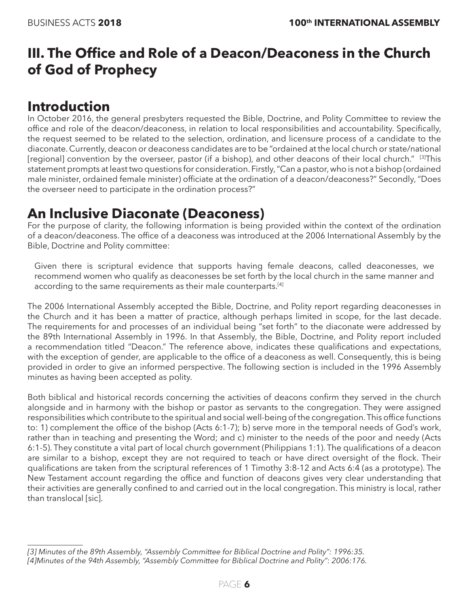### **III. The Office and Role of a Deacon/Deaconess in the Church of God of Prophecy**

#### **Introduction**

In October 2016, the general presbyters requested the Bible, Doctrine, and Polity Committee to review the office and role of the deacon/deaconess, in relation to local responsibilities and accountability. Specifically, the request seemed to be related to the selection, ordination, and licensure process of a candidate to the diaconate. Currently, deacon or deaconess candidates are to be "ordained at the local church or state/national [regional] convention by the overseer, pastor (if a bishop), and other deacons of their local church." <sup>[3]</sup>This statement prompts at least two questions for consideration. Firstly, "Can a pastor, who is not a bishop (ordained male minister, ordained female minister) officiate at the ordination of a deacon/deaconess?" Secondly, "Does the overseer need to participate in the ordination process?"

#### **An Inclusive Diaconate (Deaconess)**

For the purpose of clarity, the following information is being provided within the context of the ordination of a deacon/deaconess. The office of a deaconess was introduced at the 2006 International Assembly by the Bible, Doctrine and Polity committee:

Given there is scriptural evidence that supports having female deacons, called deaconesses, we recommend women who qualify as deaconesses be set forth by the local church in the same manner and according to the same requirements as their male counterparts.<sup>[4]</sup>

The 2006 International Assembly accepted the Bible, Doctrine, and Polity report regarding deaconesses in the Church and it has been a matter of practice, although perhaps limited in scope, for the last decade. The requirements for and processes of an individual being "set forth" to the diaconate were addressed by the 89th International Assembly in 1996. In that Assembly, the Bible, Doctrine, and Polity report included a recommendation titled "Deacon." The reference above, indicates these qualifications and expectations, with the exception of gender, are applicable to the office of a deaconess as well. Consequently, this is being provided in order to give an informed perspective. The following section is included in the 1996 Assembly minutes as having been accepted as polity.

Both biblical and historical records concerning the activities of deacons confirm they served in the church alongside and in harmony with the bishop or pastor as servants to the congregation. They were assigned responsibilities which contribute to the spiritual and social well-being of the congregation. This office functions to: 1) complement the office of the bishop (Acts 6:1-7); b) serve more in the temporal needs of God's work, rather than in teaching and presenting the Word; and c) minister to the needs of the poor and needy (Acts 6:1-5). They constitute a vital part of local church government (Philippians 1:1). The qualifications of a deacon are similar to a bishop, except they are not required to teach or have direct oversight of the flock. Their qualifications are taken from the scriptural references of 1 Timothy 3:8-12 and Acts 6:4 (as a prototype). The New Testament account regarding the office and function of deacons gives very clear understanding that their activities are generally confined to and carried out in the local congregation. This ministry is local, rather than translocal [sic].

*<sup>[3]</sup> Minutes of the 89th Assembly, "Assembly Committee for Biblical Doctrine and Polity": 1996:35. [4]Minutes of the 94th Assembly, "Assembly Committee for Biblical Doctrine and Polity": 2006:176.*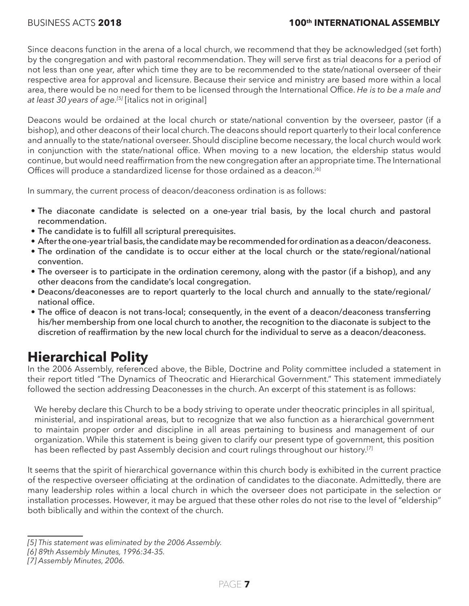Since deacons function in the arena of a local church, we recommend that they be acknowledged (set forth) by the congregation and with pastoral recommendation. They will serve first as trial deacons for a period of not less than one year, after which time they are to be recommended to the state/national overseer of their respective area for approval and licensure. Because their service and ministry are based more within a local area, there would be no need for them to be licensed through the International Office. *He is to be a male and at least 30 years of age.[5]* [italics not in original]

Deacons would be ordained at the local church or state/national convention by the overseer, pastor (if a bishop), and other deacons of their local church. The deacons should report quarterly to their local conference and annually to the state/national overseer. Should discipline become necessary, the local church would work in conjunction with the state/national office. When moving to a new location, the eldership status would continue, but would need reaffirmation from the new congregation after an appropriate time. The International Offices will produce a standardized license for those ordained as a deacon.<sup>[6]</sup>

In summary, the current process of deacon/deaconess ordination is as follows:

- The diaconate candidate is selected on a one-year trial basis, by the local church and pastoral recommendation.
- The candidate is to fulfill all scriptural prerequisites.
- After the one-year trial basis, the candidate may be recommended for ordination as a deacon/deaconess.
- The ordination of the candidate is to occur either at the local church or the state/regional/national convention.
- The overseer is to participate in the ordination ceremony, along with the pastor (if a bishop), and any other deacons from the candidate's local congregation.
- Deacons/deaconesses are to report quarterly to the local church and annually to the state/regional/ national office.
- The office of deacon is not trans-local; consequently, in the event of a deacon/deaconess transferring his/her membership from one local church to another, the recognition to the diaconate is subject to the discretion of reaffirmation by the new local church for the individual to serve as a deacon/deaconess.

### **Hierarchical Polity**

In the 2006 Assembly, referenced above, the Bible, Doctrine and Polity committee included a statement in their report titled "The Dynamics of Theocratic and Hierarchical Government." This statement immediately followed the section addressing Deaconesses in the church. An excerpt of this statement is as follows:

We hereby declare this Church to be a body striving to operate under theocratic principles in all spiritual, ministerial, and inspirational areas, but to recognize that we also function as a hierarchical government to maintain proper order and discipline in all areas pertaining to business and management of our organization. While this statement is being given to clarify our present type of government, this position has been reflected by past Assembly decision and court rulings throughout our history.<sup>[7]</sup>

It seems that the spirit of hierarchical governance within this church body is exhibited in the current practice of the respective overseer officiating at the ordination of candidates to the diaconate. Admittedly, there are many leadership roles within a local church in which the overseer does not participate in the selection or installation processes. However, it may be argued that these other roles do not rise to the level of "eldership" both biblically and within the context of the church.

*<sup>[5]</sup> This statement was eliminated by the 2006 Assembly.*

*<sup>[6] 89</sup>th Assembly Minutes, 1996:34-35.*

*<sup>[7]</sup> Assembly Minutes, 2006.*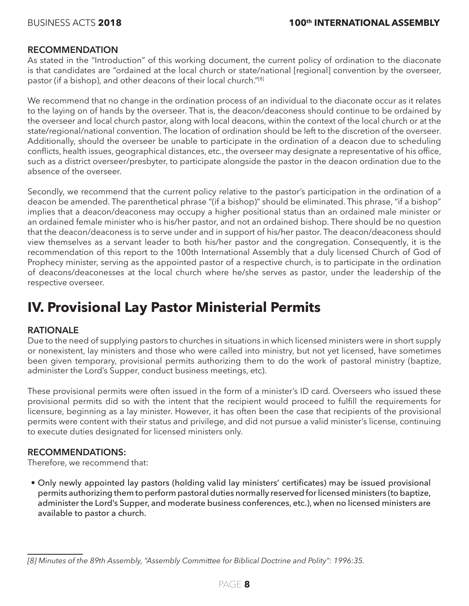#### **RECOMMENDATION**

As stated in the "Introduction" of this working document, the current policy of ordination to the diaconate is that candidates are "ordained at the local church or state/national [regional] convention by the overseer, pastor (if a bishop), and other deacons of their local church."<sup>[8]</sup>

We recommend that no change in the ordination process of an individual to the diaconate occur as it relates to the laying on of hands by the overseer. That is, the deacon/deaconess should continue to be ordained by the overseer and local church pastor, along with local deacons, within the context of the local church or at the state/regional/national convention. The location of ordination should be left to the discretion of the overseer. Additionally, should the overseer be unable to participate in the ordination of a deacon due to scheduling conflicts, health issues, geographical distances, etc., the overseer may designate a representative of his office, such as a district overseer/presbyter, to participate alongside the pastor in the deacon ordination due to the absence of the overseer.

Secondly, we recommend that the current policy relative to the pastor's participation in the ordination of a deacon be amended. The parenthetical phrase "(if a bishop)" should be eliminated. This phrase, "if a bishop" implies that a deacon/deaconess may occupy a higher positional status than an ordained male minister or an ordained female minister who is his/her pastor, and not an ordained bishop. There should be no question that the deacon/deaconess is to serve under and in support of his/her pastor. The deacon/deaconess should view themselves as a servant leader to both his/her pastor and the congregation. Consequently, it is the recommendation of this report to the 100th International Assembly that a duly licensed Church of God of Prophecy minister, serving as the appointed pastor of a respective church, is to participate in the ordination of deacons/deaconesses at the local church where he/she serves as pastor, under the leadership of the respective overseer.

### **IV. Provisional Lay Pastor Ministerial Permits**

#### **RATIONALE**

Due to the need of supplying pastors to churches in situations in which licensed ministers were in short supply or nonexistent, lay ministers and those who were called into ministry, but not yet licensed, have sometimes been given temporary, provisional permits authorizing them to do the work of pastoral ministry (baptize, administer the Lord's Supper, conduct business meetings, etc).

These provisional permits were often issued in the form of a minister's ID card. Overseers who issued these provisional permits did so with the intent that the recipient would proceed to fulfill the requirements for licensure, beginning as a lay minister. However, it has often been the case that recipients of the provisional permits were content with their status and privilege, and did not pursue a valid minister's license, continuing to execute duties designated for licensed ministers only.

#### **RECOMMENDATIONS:**

Therefore, we recommend that:

• Only newly appointed lay pastors (holding valid lay ministers' certificates) may be issued provisional permits authorizing them to perform pastoral duties normally reserved for licensed ministers (to baptize, administer the Lord's Supper, and moderate business conferences, etc.), when no licensed ministers are available to pastor a church.

*<sup>[8]</sup> Minutes of the 89th Assembly, "Assembly Committee for Biblical Doctrine and Polity": 1996:35.*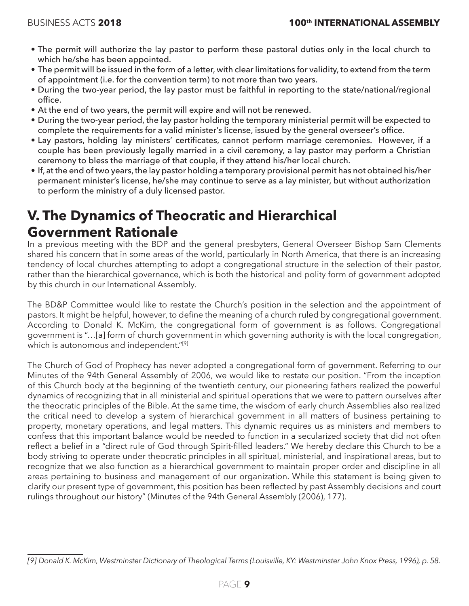- The permit will authorize the lay pastor to perform these pastoral duties only in the local church to which he/she has been appointed.
- The permit will be issued in the form of a letter, with clear limitations for validity, to extend from the term of appointment (i.e. for the convention term) to not more than two years.
- During the two-year period, the lay pastor must be faithful in reporting to the state/national/regional office.
- At the end of two years, the permit will expire and will not be renewed.
- During the two-year period, the lay pastor holding the temporary ministerial permit will be expected to complete the requirements for a valid minister's license, issued by the general overseer's office.
- Lay pastors, holding lay ministers' certificates, cannot perform marriage ceremonies. However, if a couple has been previously legally married in a civil ceremony, a lay pastor may perform a Christian ceremony to bless the marriage of that couple, if they attend his/her local church.
- If, at the end of two years, the lay pastor holding a temporary provisional permit has not obtained his/her permanent minister's license, he/she may continue to serve as a lay minister, but without authorization to perform the ministry of a duly licensed pastor.

### **V. The Dynamics of Theocratic and Hierarchical Government Rationale**

In a previous meeting with the BDP and the general presbyters, General Overseer Bishop Sam Clements shared his concern that in some areas of the world, particularly in North America, that there is an increasing tendency of local churches attempting to adopt a congregational structure in the selection of their pastor, rather than the hierarchical governance, which is both the historical and polity form of government adopted by this church in our International Assembly.

The BD&P Committee would like to restate the Church's position in the selection and the appointment of pastors. It might be helpful, however, to define the meaning of a church ruled by congregational government. According to Donald K. McKim, the congregational form of government is as follows. Congregational government is "…[a] form of church government in which governing authority is with the local congregation, which is autonomous and independent."<sup>[9]</sup>

The Church of God of Prophecy has never adopted a congregational form of government. Referring to our Minutes of the 94th General Assembly of 2006, we would like to restate our position. "From the inception of this Church body at the beginning of the twentieth century, our pioneering fathers realized the powerful dynamics of recognizing that in all ministerial and spiritual operations that we were to pattern ourselves after the theocratic principles of the Bible. At the same time, the wisdom of early church Assemblies also realized the critical need to develop a system of hierarchical government in all matters of business pertaining to property, monetary operations, and legal matters. This dynamic requires us as ministers and members to confess that this important balance would be needed to function in a secularized society that did not often reflect a belief in a "direct rule of God through Spirit-filled leaders." We hereby declare this Church to be a body striving to operate under theocratic principles in all spiritual, ministerial, and inspirational areas, but to recognize that we also function as a hierarchical government to maintain proper order and discipline in all areas pertaining to business and management of our organization. While this statement is being given to clarify our present type of government, this position has been reflected by past Assembly decisions and court rulings throughout our history" (Minutes of the 94th General Assembly (2006), 177).

*<sup>[9]</sup> Donald K. McKim, Westminster Dictionary of Theological Terms (Louisville, KY: Westminster John Knox Press, 1996), p. 58.*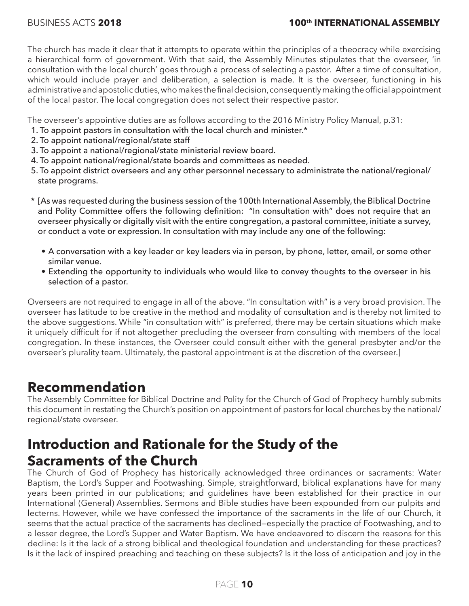The church has made it clear that it attempts to operate within the principles of a theocracy while exercising a hierarchical form of government. With that said, the Assembly Minutes stipulates that the overseer, 'in consultation with the local church' goes through a process of selecting a pastor. After a time of consultation, which would include prayer and deliberation, a selection is made. It is the overseer, functioning in his administrative and apostolic duties, who makes the final decision, consequently making the official appointment of the local pastor. The local congregation does not select their respective pastor.

The overseer's appointive duties are as follows according to the 2016 Ministry Policy Manual, p.31:

- 1. To appoint pastors in consultation with the local church and minister.\*
- 2. To appoint national/regional/state staff
- 3. To appoint a national/regional/state ministerial review board.
- 4. To appoint national/regional/state boards and committees as needed.
- 5. To appoint district overseers and any other personnel necessary to administrate the national/regional/ state programs.
- \* [As was requested during the business session of the 100th International Assembly, the Biblical Doctrine and Polity Committee offers the following definition: "In consultation with" does not require that an overseer physically or digitally visit with the entire congregation, a pastoral committee, initiate a survey, or conduct a vote or expression. In consultation with may include any one of the following:
	- A conversation with a key leader or key leaders via in person, by phone, letter, email, or some other similar venue.
	- Extending the opportunity to individuals who would like to convey thoughts to the overseer in his selection of a pastor.

Overseers are not required to engage in all of the above. "In consultation with" is a very broad provision. The overseer has latitude to be creative in the method and modality of consultation and is thereby not limited to the above suggestions. While "in consultation with" is preferred, there may be certain situations which make it uniquely difficult for if not altogether precluding the overseer from consulting with members of the local congregation. In these instances, the Overseer could consult either with the general presbyter and/or the overseer's plurality team. Ultimately, the pastoral appointment is at the discretion of the overseer.]

#### **Recommendation**

The Assembly Committee for Biblical Doctrine and Polity for the Church of God of Prophecy humbly submits this document in restating the Church's position on appointment of pastors for local churches by the national/ regional/state overseer.

### **Introduction and Rationale for the Study of the Sacraments of the Church**

The Church of God of Prophecy has historically acknowledged three ordinances or sacraments: Water Baptism, the Lord's Supper and Footwashing. Simple, straightforward, biblical explanations have for many years been printed in our publications; and guidelines have been established for their practice in our International (General) Assemblies. Sermons and Bible studies have been expounded from our pulpits and lecterns. However, while we have confessed the importance of the sacraments in the life of our Church, it seems that the actual practice of the sacraments has declined—especially the practice of Footwashing, and to a lesser degree, the Lord's Supper and Water Baptism. We have endeavored to discern the reasons for this decline: Is it the lack of a strong biblical and theological foundation and understanding for these practices? Is it the lack of inspired preaching and teaching on these subjects? Is it the loss of anticipation and joy in the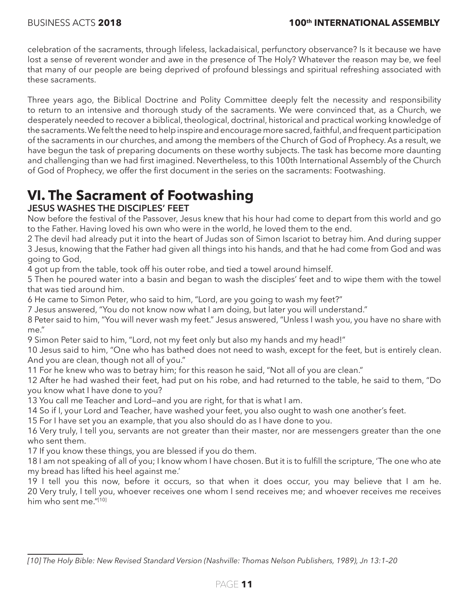celebration of the sacraments, through lifeless, lackadaisical, perfunctory observance? Is it because we have lost a sense of reverent wonder and awe in the presence of The Holy? Whatever the reason may be, we feel that many of our people are being deprived of profound blessings and spiritual refreshing associated with these sacraments.

Three years ago, the Biblical Doctrine and Polity Committee deeply felt the necessity and responsibility to return to an intensive and thorough study of the sacraments. We were convinced that, as a Church, we desperately needed to recover a biblical, theological, doctrinal, historical and practical working knowledge of the sacraments. We felt the need to help inspire and encourage more sacred, faithful, and frequent participation of the sacraments in our churches, and among the members of the Church of God of Prophecy. As a result, we have begun the task of preparing documents on these worthy subjects. The task has become more daunting and challenging than we had first imagined. Nevertheless, to this 100th International Assembly of the Church of God of Prophecy, we offer the first document in the series on the sacraments: Footwashing.

### **VI. The Sacrament of Footwashing**

#### **JESUS WASHES THE DISCIPLES' FEET**

Now before the festival of the Passover, Jesus knew that his hour had come to depart from this world and go to the Father. Having loved his own who were in the world, he loved them to the end.

2 The devil had already put it into the heart of Judas son of Simon Iscariot to betray him. And during supper 3 Jesus, knowing that the Father had given all things into his hands, and that he had come from God and was going to God,

4 got up from the table, took off his outer robe, and tied a towel around himself.

5 Then he poured water into a basin and began to wash the disciples' feet and to wipe them with the towel that was tied around him.

6 He came to Simon Peter, who said to him, "Lord, are you going to wash my feet?"

7 Jesus answered, "You do not know now what I am doing, but later you will understand."

8 Peter said to him, "You will never wash my feet." Jesus answered, "Unless I wash you, you have no share with me."

9 Simon Peter said to him, "Lord, not my feet only but also my hands and my head!"

10 Jesus said to him, "One who has bathed does not need to wash, except for the feet, but is entirely clean. And you are clean, though not all of you."

11 For he knew who was to betray him; for this reason he said, "Not all of you are clean."

12 After he had washed their feet, had put on his robe, and had returned to the table, he said to them, "Do you know what I have done to you?

13 You call me Teacher and Lord—and you are right, for that is what I am.

14 So if I, your Lord and Teacher, have washed your feet, you also ought to wash one another's feet.

15 For I have set you an example, that you also should do as I have done to you.

16 Very truly, I tell you, servants are not greater than their master, nor are messengers greater than the one who sent them.

17 If you know these things, you are blessed if you do them.

18 I am not speaking of all of you; I know whom I have chosen. But it is to fulfill the scripture, 'The one who ate my bread has lifted his heel against me.'

19 I tell you this now, before it occurs, so that when it does occur, you may believe that I am he. 20 Very truly, I tell you, whoever receives one whom I send receives me; and whoever receives me receives him who sent me."[10]

*<sup>[10]</sup> The Holy Bible: New Revised Standard Version (Nashville: Thomas Nelson Publishers, 1989), Jn 13:1–20*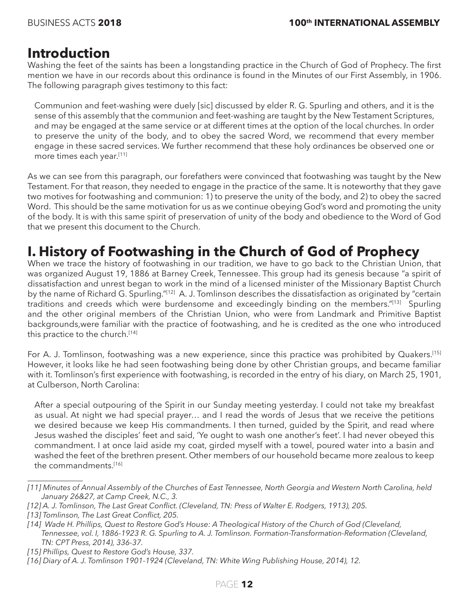#### **Introduction**

Washing the feet of the saints has been a longstanding practice in the Church of God of Prophecy. The first mention we have in our records about this ordinance is found in the Minutes of our First Assembly, in 1906. The following paragraph gives testimony to this fact:

Communion and feet-washing were duely [sic] discussed by elder R. G. Spurling and others, and it is the sense of this assembly that the communion and feet-washing are taught by the New Testament Scriptures, and may be engaged at the same service or at different times at the option of the local churches. In order to preserve the unity of the body, and to obey the sacred Word, we recommend that every member engage in these sacred services. We further recommend that these holy ordinances be observed one or more times each year.[11]

As we can see from this paragraph, our forefathers were convinced that footwashing was taught by the New Testament. For that reason, they needed to engage in the practice of the same. It is noteworthy that they gave two motives for footwashing and communion: 1) to preserve the unity of the body, and 2) to obey the sacred Word. This should be the same motivation for us as we continue obeying God's word and promoting the unity of the body. It is with this same spirit of preservation of unity of the body and obedience to the Word of God that we present this document to the Church.

### **I. History of Footwashing in the Church of God of Prophecy**

When we trace the history of footwashing in our tradition, we have to go back to the Christian Union, that was organized August 19, 1886 at Barney Creek, Tennessee. This group had its genesis because "a spirit of dissatisfaction and unrest began to work in the mind of a licensed minister of the Missionary Baptist Church by the name of Richard G. Spurling."<sup>[12]</sup> A. J. Tomlinson describes the dissatisfaction as originated by "certain traditions and creeds which were burdensome and exceedingly binding on the members."[13] Spurling and the other original members of the Christian Union, who were from Landmark and Primitive Baptist backgrounds,were familiar with the practice of footwashing, and he is credited as the one who introduced this practice to the church.[14]

For A. J. Tomlinson, footwashing was a new experience, since this practice was prohibited by Quakers.<sup>[15]</sup> However, it looks like he had seen footwashing being done by other Christian groups, and became familiar with it. Tomlinson's first experience with footwashing, is recorded in the entry of his diary, on March 25, 1901, at Culberson, North Carolina:

After a special outpouring of the Spirit in our Sunday meeting yesterday. I could not take my breakfast as usual. At night we had special prayer… and I read the words of Jesus that we receive the petitions we desired because we keep His commandments. I then turned, guided by the Spirit, and read where Jesus washed the disciples' feet and said, 'Ye ought to wash one another's feet'. I had never obeyed this commandment. I at once laid aside my coat, girded myself with a towel, poured water into a basin and washed the feet of the brethren present. Other members of our household became more zealous to keep the commandments.[16]

*<sup>[11]</sup> Minutes of Annual Assembly of the Churches of East Tennessee, North Georgia and Western North Carolina, held January 26&27, at Camp Creek, N.C., 3.*

*<sup>[12]</sup> A. J. Tomlinson, The Last Great Conflict. (Cleveland, TN: Press of Walter E. Rodgers, 1913), 205.*

*<sup>[13]</sup> Tomlinson, The Last Great Conflict, 205.*

*<sup>[14]</sup> Wade H. Phillips, Quest to Restore God's House: A Theological History of the Church of God (Cleveland, Tennessee, vol. I, 1886-1923 R. G. Spurling to A. J. Tomlinson. Formation-Transformation-Reformation (Cleveland, TN: CPT Press, 2014), 336-37.*

*<sup>[15]</sup> Phillips, Quest to Restore God's House, 337.*

*<sup>[16]</sup> Diary of A. J. Tomlinson 1901-1924 (Cleveland, TN: White Wing Publishing House, 2014), 12.*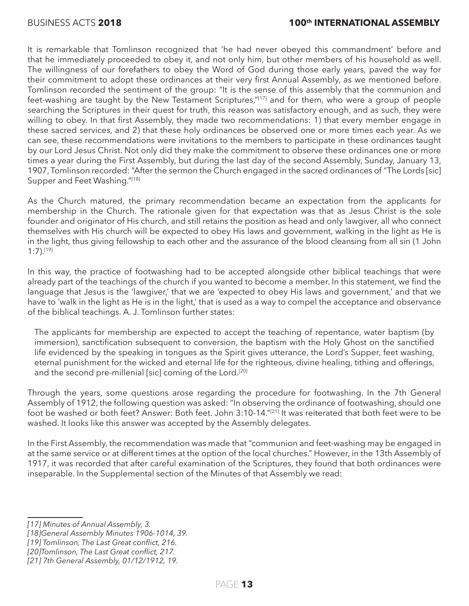It is remarkable that Tomlinson recognized that 'he had never obeyed this commandment' before and that he immediately proceeded to obey it, and not only him, but other members of his household as well. The willingness of our forefathers to obey the Word of God during those early years, paved the way for their commitment to adopt these ordinances at their very first Annual Assembly, as we mentioned before. Tomlinson recorded the sentiment of the group: "It is the sense of this assembly that the communion and feet-washing are taught by the New Testament Scriptures,"[17] and for them, who were a group of people searching the Scriptures in their quest for truth, this reason was satisfactory enough, and as such, they were willing to obey. In that first Assembly, they made two recommendations: 1) that every member engage in these sacred services, and 2) that these holy ordinances be observed one or more times each year. As we can see, these recommendations were invitations to the members to participate in these ordinances taught by our Lord Jesus Christ. Not only did they make the commitment to observe these ordinances one or more times a year during the First Assembly, but during the last day of the second Assembly, Sunday, January 13, 1907, Tomlinson recorded: "After the sermon the Church engaged in the sacred ordinances of "The Lords [sic] Supper and Feet Washing."[18]

As the Church matured, the primary recommendation became an expectation from the applicants for membership in the Church. The rationale given for that expectation was that as Jesus Christ is the sole founder and originator of His church, and still retains the position as head and only lawgiver, all who connect themselves with His church will be expected to obey His laws and government, walking in the light as He is in the light, thus giving fellowship to each other and the assurance of the blood cleansing from all sin (1 John 1:7).[19]

In this way, the practice of footwashing had to be accepted alongside other biblical teachings that were already part of the teachings of the church if you wanted to become a member. In this statement, we find the language that Jesus is the 'lawgiver,' that we are 'expected to obey His laws and government,' and that we have to 'walk in the light as He is in the light,' that is used as a way to compel the acceptance and observance of the biblical teachings. A. J. Tomlinson further states:

The applicants for membership are expected to accept the teaching of repentance, water baptism (by immersion), sanctification subsequent to conversion, the baptism with the Holy Ghost on the sanctified life evidenced by the speaking in tongues as the Spirit gives utterance, the Lord's Supper, feet washing, eternal punishment for the wicked and eternal life for the righteous, divine healing, tithing and offerings, and the second pre-millenial [sic] coming of the Lord.<sup>[20]</sup>

Through the years, some questions arose regarding the procedure for footwashing. In the 7th General Assembly of 1912, the following question was asked: "In observing the ordinance of footwashing, should one foot be washed or both feet? Answer: Both feet. John 3:10-14."[21] It was reiterated that both feet were to be washed. It looks like this answer was accepted by the Assembly delegates.

In the First Assembly, the recommendation was made that "communion and feet-washing may be engaged in at the same service or at different times at the option of the local churches." However, in the 13th Assembly of 1917, it was recorded that after careful examination of the Scriptures, they found that both ordinances were inseparable. In the Supplemental section of the Minutes of that Assembly we read:

*[19] Tomlinson, The Last Great conflict, 216.*

*<sup>[17]</sup> Minutes of Annual Assembly, 3.*

*<sup>[18]</sup>General Assembly Minutes 1906-1014, 39.*

*<sup>[20]</sup>Tomlinson, The Last Great conflict, 217.*

*<sup>[21] 7</sup>th General Assembly, 01/12/1912, 19.*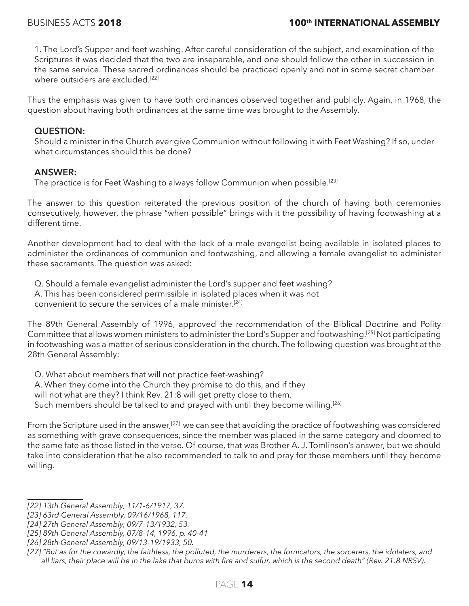1. The Lord's Supper and feet washing. After careful consideration of the subject, and examination of the Scriptures it was decided that the two are inseparable, and one should follow the other in succession in the same service. These sacred ordinances should be practiced openly and not in some secret chamber where outsiders are excluded.<sup>[22]</sup>

Thus the emphasis was given to have both ordinances observed together and publicly. Again, in 1968, the question about having both ordinances at the same time was brought to the Assembly.

#### **QUESTION:**

Should a minister in the Church ever give Communion without following it with Feet Washing? If so, under what circumstances should this be done?

#### **ANSWER:**

The practice is for Feet Washing to always follow Communion when possible.<sup>[23]</sup>

The answer to this question reiterated the previous position of the church of having both ceremonies consecutively, however, the phrase "when possible" brings with it the possibility of having footwashing at a different time.

Another development had to deal with the lack of a male evangelist being available in isolated places to administer the ordinances of communion and footwashing, and allowing a female evangelist to administer these sacraments. The question was asked:

Q. Should a female evangelist administer the Lord's supper and feet washing?

A. This has been considered permissible in isolated places when it was not

convenient to secure the services of a male minister.[24]

The 89th General Assembly of 1996, approved the recommendation of the Biblical Doctrine and Polity Committee that allows women ministers to administer the Lord's Supper and footwashing.[25] Not participating in footwashing was a matter of serious consideration in the church. The following question was brought at the 28th General Assembly:

Q. What about members that will not practice feet-washing?

A. When they come into the Church they promise to do this, and if they

will not what are they? I think Rev. 21:8 will get pretty close to them.

Such members should be talked to and prayed with until they become willing.<sup>[26]</sup>

From the Scripture used in the answer,<sup>[27]</sup> we can see that avoiding the practice of footwashing was considered as something with grave consequences, since the member was placed in the same category and doomed to the same fate as those listed in the verse. Of course, that was Brother A. J. Tomlinson's answer, but we should take into consideration that he also recommended to talk to and pray for those members until they become willing.

*<sup>[22] 13</sup>th General Assembly, 11/1-6/1917, 37.*

*<sup>[23] 63</sup>rd General Assembly, 09/16/1968, 117.*

*<sup>[24] 27</sup>th General Assembly, 09/7-13/1932, 53.*

*<sup>[25] 89</sup>th General Assembly, 07/8-14, 1996, p. 40-41*

*<sup>[26] 28</sup>th General Assembly, 09/13-19/1933, 50.*

*<sup>[27] &</sup>quot;But as for the cowardly, the faithless, the polluted, the murderers, the fornicators, the sorcerers, the idolaters, and all liars, their place will be in the lake that burns with fire and sulfur, which is the second death" (Rev. 21:8 NRSV).*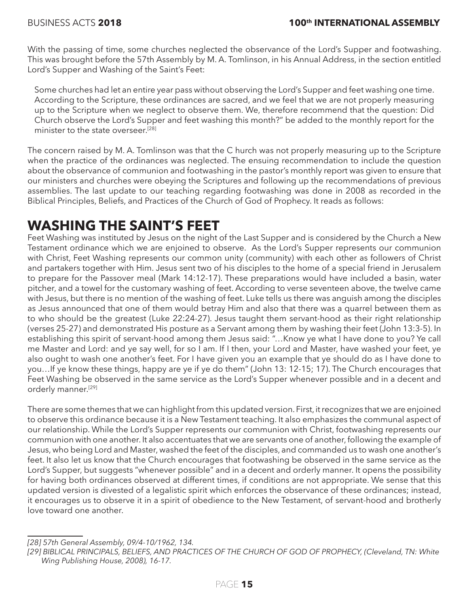With the passing of time, some churches neglected the observance of the Lord's Supper and footwashing. This was brought before the 57th Assembly by M. A. Tomlinson, in his Annual Address, in the section entitled Lord's Supper and Washing of the Saint's Feet:

Some churches had let an entire year pass without observing the Lord's Supper and feet washing one time. According to the Scripture, these ordinances are sacred, and we feel that we are not properly measuring up to the Scripture when we neglect to observe them. We, therefore recommend that the question: Did Church observe the Lord's Supper and feet washing this month?" be added to the monthly report for the minister to the state overseer.<sup>[28]</sup>

The concern raised by M. A. Tomlinson was that the C hurch was not properly measuring up to the Scripture when the practice of the ordinances was neglected. The ensuing recommendation to include the question about the observance of communion and footwashing in the pastor's monthly report was given to ensure that our ministers and churches were obeying the Scriptures and following up the recommendations of previous assemblies. The last update to our teaching regarding footwashing was done in 2008 as recorded in the Biblical Principles, Beliefs, and Practices of the Church of God of Prophecy. It reads as follows:

### **WASHING THE SAINT'S FEET**

Feet Washing was instituted by Jesus on the night of the Last Supper and is considered by the Church a New Testament ordinance which we are enjoined to observe. As the Lord's Supper represents our communion with Christ, Feet Washing represents our common unity (community) with each other as followers of Christ and partakers together with Him. Jesus sent two of his disciples to the home of a special friend in Jerusalem to prepare for the Passover meal (Mark 14:12-17). These preparations would have included a basin, water pitcher, and a towel for the customary washing of feet. According to verse seventeen above, the twelve came with Jesus, but there is no mention of the washing of feet. Luke tells us there was anguish among the disciples as Jesus announced that one of them would betray Him and also that there was a quarrel between them as to who should be the greatest (Luke 22:24-27). Jesus taught them servant-hood as their right relationship (verses 25-27) and demonstrated His posture as a Servant among them by washing their feet (John 13:3-5). In establishing this spirit of servant-hood among them Jesus said: "…Know ye what I have done to you? Ye call me Master and Lord: and ye say well, for so I am. If I then, your Lord and Master, have washed your feet, ye also ought to wash one another's feet. For I have given you an example that ye should do as I have done to you…If ye know these things, happy are ye if ye do them" (John 13: 12-15; 17). The Church encourages that Feet Washing be observed in the same service as the Lord's Supper whenever possible and in a decent and orderly manner.[29]

There are some themes that we can highlight from this updated version. First, it recognizes that we are enjoined to observe this ordinance because it is a New Testament teaching. It also emphasizes the communal aspect of our relationship. While the Lord's Supper represents our communion with Christ, footwashing represents our communion with one another. It also accentuates that we are servants one of another, following the example of Jesus, who being Lord and Master, washed the feet of the disciples, and commanded us to wash one another's feet. It also let us know that the Church encourages that footwashing be observed in the same service as the Lord's Supper, but suggests "whenever possible" and in a decent and orderly manner. It opens the possibility for having both ordinances observed at different times, if conditions are not appropriate. We sense that this updated version is divested of a legalistic spirit which enforces the observance of these ordinances; instead, it encourages us to observe it in a spirit of obedience to the New Testament, of servant-hood and brotherly love toward one another.

*<sup>[28] 57</sup>th General Assembly, 09/4-10/1962, 134.*

*<sup>[29]</sup> BIBLICAL PRINCIPALS, BELIEFS, AND PRACTICES OF THE CHURCH OF GOD OF PROPHECY, (Cleveland, TN: White Wing Publishing House, 2008), 16-17.*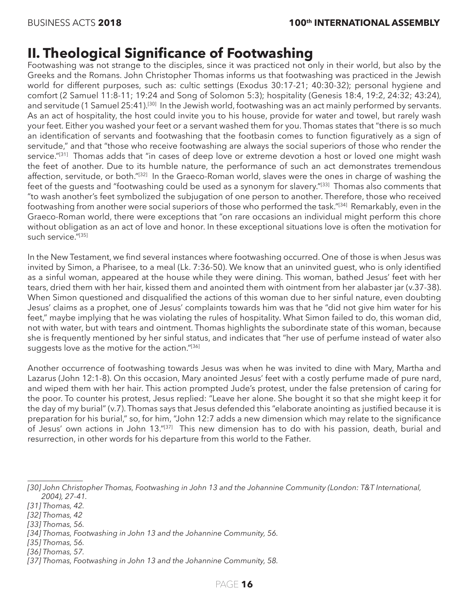#### **II. Theological Significance of Footwashing**

Footwashing was not strange to the disciples, since it was practiced not only in their world, but also by the Greeks and the Romans. John Christopher Thomas informs us that footwashing was practiced in the Jewish world for different purposes, such as: cultic settings (Exodus 30:17-21; 40:30-32); personal hygiene and comfort (2 Samuel 11:8-11; 19:24 and Song of Solomon 5:3); hospitality (Genesis 18:4, 19:2, 24:32; 43:24), and servitude (1 Samuel 25:41).<sup>[30]</sup> In the Jewish world, footwashing was an act mainly performed by servants. As an act of hospitality, the host could invite you to his house, provide for water and towel, but rarely wash your feet. Either you washed your feet or a servant washed them for you. Thomas states that "there is so much an identification of servants and footwashing that the footbasin comes to function figuratively as a sign of servitude," and that "those who receive footwashing are always the social superiors of those who render the service."<sup>[31]</sup> Thomas adds that "in cases of deep love or extreme devotion a host or loved one might wash the feet of another. Due to its humble nature, the performance of such an act demonstrates tremendous affection, servitude, or both."[32] In the Graeco-Roman world, slaves were the ones in charge of washing the feet of the guests and "footwashing could be used as a synonym for slavery."[33] Thomas also comments that "to wash another's feet symbolized the subjugation of one person to another. Therefore, those who received footwashing from another were social superiors of those who performed the task."[34] Remarkably, even in the Graeco-Roman world, there were exceptions that "on rare occasions an individual might perform this chore without obligation as an act of love and honor. In these exceptional situations love is often the motivation for such service."<sup>[35]</sup>

In the New Testament, we find several instances where footwashing occurred. One of those is when Jesus was invited by Simon, a Pharisee, to a meal (Lk. 7:36-50). We know that an uninvited guest, who is only identified as a sinful woman, appeared at the house while they were dining. This woman, bathed Jesus' feet with her tears, dried them with her hair, kissed them and anointed them with ointment from her alabaster jar (v.37-38). When Simon questioned and disqualified the actions of this woman due to her sinful nature, even doubting Jesus' claims as a prophet, one of Jesus' complaints towards him was that he "did not give him water for his feet," maybe implying that he was violating the rules of hospitality. What Simon failed to do, this woman did, not with water, but with tears and ointment. Thomas highlights the subordinate state of this woman, because she is frequently mentioned by her sinful status, and indicates that "her use of perfume instead of water also suggests love as the motive for the action."[36]

Another occurrence of footwashing towards Jesus was when he was invited to dine with Mary, Martha and Lazarus (John 12:1-8). On this occasion, Mary anointed Jesus' feet with a costly perfume made of pure nard, and wiped them with her hair. This action prompted Jude's protest, under the false pretension of caring for the poor. To counter his protest, Jesus replied: "Leave her alone. She bought it so that she might keep it for the day of my burial" (v.7). Thomas says that Jesus defended this "elaborate anointing as justified because it is preparation for his burial," so, for him, "John 12:7 adds a new dimension which may relate to the significance of Jesus' own actions in John 13."[37] This new dimension has to do with his passion, death, burial and resurrection, in other words for his departure from this world to the Father.

*<sup>[30]</sup> John Christopher Thomas, Footwashing in John 13 and the Johannine Community (London: T&T International, 2004), 27-41.*

*<sup>[31]</sup> Thomas, 42.*

*<sup>[32]</sup> Thomas, 42* 

*<sup>[33]</sup> Thomas, 56.*

*<sup>[34]</sup> Thomas, Footwashing in John 13 and the Johannine Community, 56.*

*<sup>[35]</sup> Thomas, 56.*

*<sup>[36]</sup> Thomas, 57.*

*<sup>[37]</sup> Thomas, Footwashing in John 13 and the Johannine Community, 58.*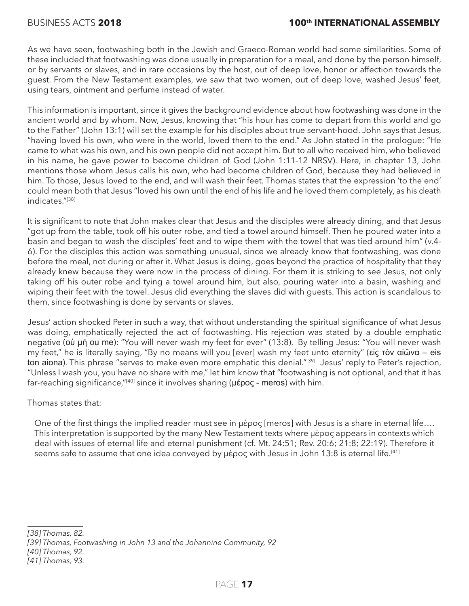As we have seen, footwashing both in the Jewish and Graeco-Roman world had some similarities. Some of these included that footwashing was done usually in preparation for a meal, and done by the person himself, or by servants or slaves, and in rare occasions by the host, out of deep love, honor or affection towards the guest. From the New Testament examples, we saw that two women, out of deep love, washed Jesus' feet, using tears, ointment and perfume instead of water.

This information is important, since it gives the background evidence about how footwashing was done in the ancient world and by whom. Now, Jesus, knowing that "his hour has come to depart from this world and go to the Father" (John 13:1) will set the example for his disciples about true servant-hood. John says that Jesus, "having loved his own, who were in the world, loved them to the end." As John stated in the prologue: "He came to what was his own, and his own people did not accept him. But to all who received him, who believed in his name, he gave power to become children of God (John 1:11-12 NRSV). Here, in chapter 13, John mentions those whom Jesus calls his own, who had become children of God, because they had believed in him. To those, Jesus loved to the end, and will wash their feet. Thomas states that the expression 'to the end' could mean both that Jesus "loved his own until the end of his life and he loved them completely, as his death indicates<sup>"[38]</sup>

It is significant to note that John makes clear that Jesus and the disciples were already dining, and that Jesus "got up from the table, took off his outer robe, and tied a towel around himself. Then he poured water into a basin and began to wash the disciples' feet and to wipe them with the towel that was tied around him" (v.4- 6). For the disciples this action was something unusual, since we already know that footwashing, was done before the meal, not during or after it. What Jesus is doing, goes beyond the practice of hospitality that they already knew because they were now in the process of dining. For them it is striking to see Jesus, not only taking off his outer robe and tying a towel around him, but also, pouring water into a basin, washing and wiping their feet with the towel. Jesus did everything the slaves did with guests. This action is scandalous to them, since footwashing is done by servants or slaves.

Jesus' action shocked Peter in such a way, that without understanding the spiritual significance of what Jesus was doing, emphatically rejected the act of footwashing. His rejection was stated by a double emphatic negative (οὐ μή ou me): "You will never wash my feet for ever" (13:8). By telling Jesus: "You will never wash my feet," he is literally saying, "By no means will you [ever] wash my feet unto eternity" (εἰς τὸν αἰῶνα – eis ton aiona). This phrase "serves to make even more emphatic this denial."[39] Jesus' reply to Peter's rejection, "Unless I wash you, you have no share with me," let him know that "footwashing is not optional, and that it has far-reaching significance,"[40] since it involves sharing (μέρος - meros) with him.

Thomas states that:

One of the first things the implied reader must see in μέρος [meros] with Jesus is a share in eternal life…. This interpretation is supported by the many New Testament texts where μέρος appears in contexts which deal with issues of eternal life and eternal punishment (cf. Mt. 24:51; Rev. 20:6; 21:8; 22:19). Therefore it seems safe to assume that one idea conveyed by μέρος with Jesus in John 13:8 is eternal life.<sup>[41]</sup>

*<sup>[38]</sup> Thomas, 82.*

*<sup>[39]</sup> Thomas, Footwashing in John 13 and the Johannine Community, 92*

*<sup>[40]</sup> Thomas, 92.*

*<sup>[41]</sup> Thomas, 93.*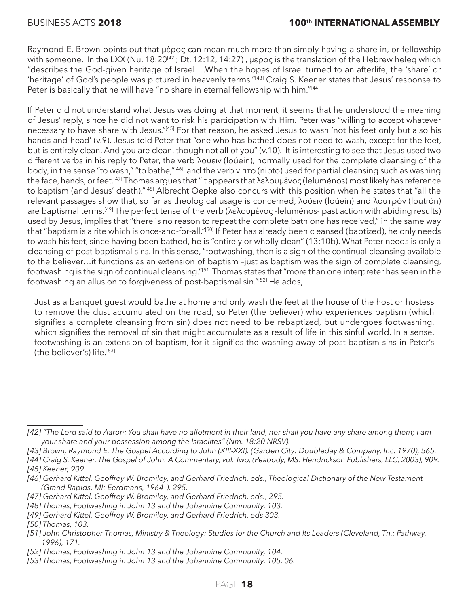Raymond E. Brown points out that μέρος can mean much more than simply having a share in, or fellowship with someone. In the LXX (Nu. 18:20<sup>[42]</sup>; Dt. 12:12, 14:27), μέρος is the translation of the Hebrew heleq which "describes the God-given heritage of Israel….When the hopes of Israel turned to an afterlife, the 'share' or 'heritage' of God's people was pictured in heavenly terms."[43] Craig S. Keener states that Jesus' response to Peter is basically that he will have "no share in eternal fellowship with him."<sup>[44]</sup>

If Peter did not understand what Jesus was doing at that moment, it seems that he understood the meaning of Jesus' reply, since he did not want to risk his participation with Him. Peter was "willing to accept whatever necessary to have share with Jesus."[45] For that reason, he asked Jesus to wash 'not his feet only but also his hands and head' (v.9). Jesus told Peter that "one who has bathed does not need to wash, except for the feet, but is entirely clean. And you are clean, though not all of you" (v.10). It is interesting to see that Jesus used two different verbs in his reply to Peter, the verb λούειν (loúein), normally used for the complete cleansing of the body, in the sense "to wash," "to bathe,"[46] and the verb νίπτo (nipto) used for partial cleansing such as washing the face, hands, or feet.[47] Thomas argues that "it appears that λελουμένος (leluménos) most likely has reference to baptism (and Jesus' death)."[48] Albrecht Oepke also concurs with this position when he states that "all the relevant passages show that, so far as theological usage is concerned, λούειν (loúein) and λουτρόν (loutrón) are baptismal terms.<sup>[49]</sup> The perfect tense of the verb (λελουμένος -leluménos- past action with abiding results) used by Jesus, implies that "there is no reason to repeat the complete bath one has received," in the same way that "baptism is a rite which is once-and-for-all."[50] If Peter has already been cleansed (baptized), he only needs to wash his feet, since having been bathed, he is "entirely or wholly clean" (13:10b). What Peter needs is only a cleansing of post-baptismal sins. In this sense, "footwashing, then is a sign of the continual cleansing available to the believer…it functions as an extension of baptism –just as baptism was the sign of complete cleansing, footwashing is the sign of continual cleansing."[51] Thomas states that "more than one interpreter has seen in the footwashing an allusion to forgiveness of post-baptismal sin."[52] He adds,

Just as a banquet guest would bathe at home and only wash the feet at the house of the host or hostess to remove the dust accumulated on the road, so Peter (the believer) who experiences baptism (which signifies a complete cleansing from sin) does not need to be rebaptized, but undergoes footwashing, which signifies the removal of sin that might accumulate as a result of life in this sinful world. In a sense, footwashing is an extension of baptism, for it signifies the washing away of post-baptism sins in Peter's (the believer's) life.<sup>[53]</sup>

*[49] Gerhard Kittel, Geoffrey W. Bromiley, and Gerhard Friedrich, eds 303.*

*<sup>[42] &</sup>quot;The Lord said to Aaron: You shall have no allotment in their land, nor shall you have any share among them; I am your share and your possession among the Israelites" (Nm. 18:20 NRSV).*

*<sup>[43]</sup> Brown, Raymond E. The Gospel According to John (XIII-XXI). (Garden City: Doubleday & Company, Inc. 1970), 565.* 

*<sup>[44]</sup> Craig S. Keener, The Gospel of John: A Commentary, vol. Two, (Peabody, MS: Hendrickson Publishers, LLC, 2003), 909. [45] Keener, 909.*

<sup>[46]</sup> Gerhard Kittel, Geoffrey W. Bromiley, and Gerhard Friedrich, eds., Theological Dictionary of the New Testament *(Grand Rapids, MI: Eerdmans, 1964–), 295.*

*<sup>[47]</sup> Gerhard Kittel, Geoffrey W. Bromiley, and Gerhard Friedrich, eds., 295.*

*<sup>[48]</sup> Thomas, Footwashing in John 13 and the Johannine Community, 103.*

*<sup>[50]</sup> Thomas, 103.*

*<sup>[51]</sup> John Christopher Thomas, Ministry & Theology: Studies for the Church and Its Leaders (Cleveland, Tn.: Pathway, 1996), 171.*

*<sup>[52]</sup> Thomas, Footwashing in John 13 and the Johannine Community, 104.*

*<sup>[53]</sup> Thomas, Footwashing in John 13 and the Johannine Community, 105, 06.*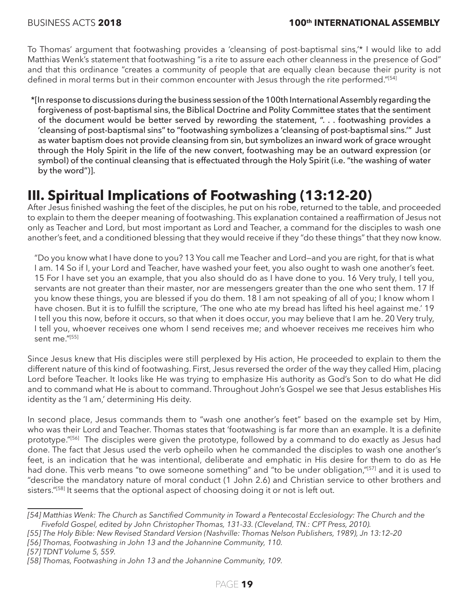To Thomas' argument that footwashing provides a 'cleansing of post-baptismal sins,'\* I would like to add Matthias Wenk's statement that footwashing "is a rite to assure each other cleanness in the presence of God" and that this ordinance "creates a community of people that are equally clean because their purity is not defined in moral terms but in their common encounter with Jesus through the rite performed."[54]

\*[In response to discussions during the business session of the 100th International Assembly regarding the forgiveness of post-baptismal sins, the Biblical Doctrine and Polity Committee states that the sentiment of the document would be better served by rewording the statement, ". . . footwashing provides a 'cleansing of post-baptismal sins" to "footwashing symbolizes a 'cleansing of post-baptismal sins.'" Just as water baptism does not provide cleansing from sin, but symbolizes an inward work of grace wrought through the Holy Spirit in the life of the new convert, footwashing may be an outward expression (or symbol) of the continual cleansing that is effectuated through the Holy Spirit (i.e. "the washing of water by the word")].

### **III. Spiritual Implications of Footwashing (13:12-20)**

After Jesus finished washing the feet of the disciples, he put on his robe, returned to the table, and proceeded to explain to them the deeper meaning of footwashing. This explanation contained a reaffirmation of Jesus not only as Teacher and Lord, but most important as Lord and Teacher, a command for the disciples to wash one another's feet, and a conditioned blessing that they would receive if they "do these things" that they now know.

"Do you know what I have done to you? 13 You call me Teacher and Lord—and you are right, for that is what I am. 14 So if I, your Lord and Teacher, have washed your feet, you also ought to wash one another's feet. 15 For I have set you an example, that you also should do as I have done to you. 16 Very truly, I tell you, servants are not greater than their master, nor are messengers greater than the one who sent them. 17 If you know these things, you are blessed if you do them. 18 I am not speaking of all of you; I know whom I have chosen. But it is to fulfill the scripture, 'The one who ate my bread has lifted his heel against me.' 19 I tell you this now, before it occurs, so that when it does occur, you may believe that I am he. 20 Very truly, I tell you, whoever receives one whom I send receives me; and whoever receives me receives him who sent me."[55]

Since Jesus knew that His disciples were still perplexed by His action, He proceeded to explain to them the different nature of this kind of footwashing. First, Jesus reversed the order of the way they called Him, placing Lord before Teacher. It looks like He was trying to emphasize His authority as God's Son to do what He did and to command what He is about to command. Throughout John's Gospel we see that Jesus establishes His identity as the 'I am,' determining His deity.

In second place, Jesus commands them to "wash one another's feet" based on the example set by Him, who was their Lord and Teacher. Thomas states that 'footwashing is far more than an example. It is a definite prototype."<sup>[56]</sup> The disciples were given the prototype, followed by a command to do exactly as Jesus had done. The fact that Jesus used the verb opheilo when he commanded the disciples to wash one another's feet, is an indication that he was intentional, deliberate and emphatic in His desire for them to do as He had done. This verb means "to owe someone something" and "to be under obligation,"[57] and it is used to "describe the mandatory nature of moral conduct (1 John 2.6) and Christian service to other brothers and sisters."<sup>[58]</sup> It seems that the optional aspect of choosing doing it or not is left out.

*[56] Thomas, Footwashing in John 13 and the Johannine Community, 110.*

*<sup>[54]</sup> Matthias Wenk: The Church as Sanctified Community in Toward a Pentecostal Ecclesiology: The Church and the Fivefold Gospel, edited by John Christopher Thomas, 131-33. (Cleveland, TN.: CPT Press, 2010).*

*<sup>[55]</sup> The Holy Bible: New Revised Standard Version (Nashville: Thomas Nelson Publishers, 1989), Jn 13:12–20*

*<sup>[57]</sup> TDNT Volume 5, 559.*

*<sup>[58]</sup> Thomas, Footwashing in John 13 and the Johannine Community, 109.*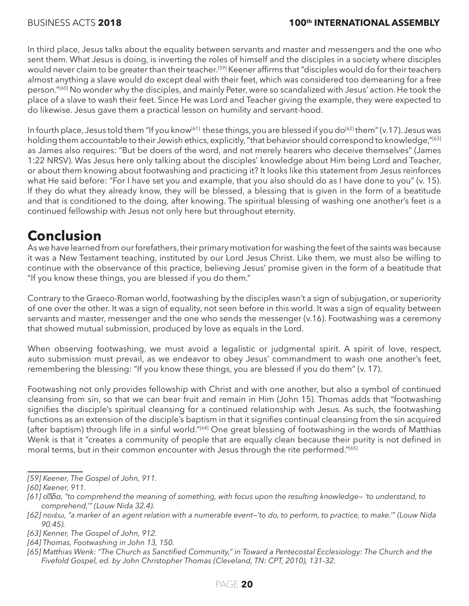In third place, Jesus talks about the equality between servants and master and messengers and the one who sent them. What Jesus is doing, is inverting the roles of himself and the disciples in a society where disciples would never claim to be greater than their teacher.<sup>[59]</sup> Keener affirms that "disciples would do for their teachers almost anything a slave would do except deal with their feet, which was considered too demeaning for a free person."[60] No wonder why the disciples, and mainly Peter, were so scandalized with Jesus' action. He took the place of a slave to wash their feet. Since He was Lord and Teacher giving the example, they were expected to do likewise. Jesus gave them a practical lesson on humility and servant-hood.

In fourth place, Jesus told them "If you know<sup>[61]</sup> these things, you are blessed if you do<sup>[62]</sup> them" (v.17). Jesus was holding them accountable to their Jewish ethics, explicitly, "that behavior should correspond to knowledge,"[63] as James also requires: "But be doers of the word, and not merely hearers who deceive themselves" (James 1:22 NRSV). Was Jesus here only talking about the disciples' knowledge about Him being Lord and Teacher, or about them knowing about footwashing and practicing it? It looks like this statement from Jesus reinforces what He said before: "For I have set you and example, that you also should do as I have done to you" (v. 15). If they do what they already know, they will be blessed, a blessing that is given in the form of a beatitude and that is conditioned to the doing, after knowing. The spiritual blessing of washing one another's feet is a continued fellowship with Jesus not only here but throughout eternity.

### **Conclusion**

As we have learned from our forefathers, their primary motivation for washing the feet of the saints was because it was a New Testament teaching, instituted by our Lord Jesus Christ. Like them, we must also be willing to continue with the observance of this practice, believing Jesus' promise given in the form of a beatitude that "If you know these things, you are blessed if you do them."

Contrary to the Graeco-Roman world, footwashing by the disciples wasn't a sign of subjugation, or superiority of one over the other. It was a sign of equality, not seen before in this world. It was a sign of equality between servants and master, messenger and the one who sends the messenger (v.16). Footwashing was a ceremony that showed mutual submission, produced by love as equals in the Lord.

When observing footwashing, we must avoid a legalistic or judgmental spirit. A spirit of love, respect, auto submission must prevail, as we endeavor to obey Jesus' commandment to wash one another's feet, remembering the blessing: "If you know these things, you are blessed if you do them" (v. 17).

Footwashing not only provides fellowship with Christ and with one another, but also a symbol of continued cleansing from sin, so that we can bear fruit and remain in Him (John 15). Thomas adds that "footwashing signifies the disciple's spiritual cleansing for a continued relationship with Jesus. As such, the footwashing functions as an extension of the disciple's baptism in that it signifies continual cleansing from the sin acquired (after baptism) through life in a sinful world."[64] One great blessing of footwashing in the words of Matthias Wenk is that it "creates a community of people that are equally clean because their purity is not defined in moral terms, but in their common encounter with Jesus through the rite performed."[65]

*<sup>[59]</sup> Keener, The Gospel of John, 911.*

*<sup>[60]</sup> Keener, 911.*

*<sup>[61]</sup> οἶδα, "to comprehend the meaning of something, with focus upon the resulting knowledge— 'to understand, to comprehend,'" (Louw Nida 32.4).*

*<sup>[62]</sup> ποιέω, "a marker of an agent relation with a numerable event—'to do, to perform, to practice, to make.'" (Louw Nida 90.45).*

*<sup>[63]</sup> Kenner, The Gospel of John, 912.*

*<sup>[64]</sup> Thomas, Footwashing in John 13, 150.*

*<sup>[65]</sup> Matthias Wenk: "The Church as Sanctified Community," in Toward a Pentecostal Ecclesiology: The Church and the Fivefold Gospel, ed. by John Christopher Thomas (Cleveland, TN: CPT, 2010), 131-32.*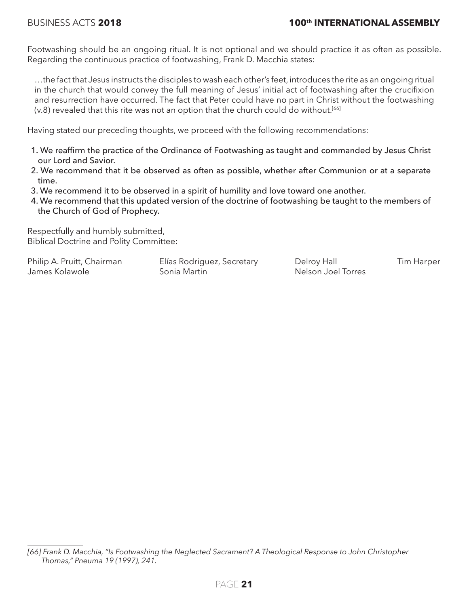Footwashing should be an ongoing ritual. It is not optional and we should practice it as often as possible. Regarding the continuous practice of footwashing, Frank D. Macchia states:

…the fact that Jesus instructs the disciples to wash each other's feet, introduces the rite as an ongoing ritual in the church that would convey the full meaning of Jesus' initial act of footwashing after the crucifixion and resurrection have occurred. The fact that Peter could have no part in Christ without the footwashing (v.8) revealed that this rite was not an option that the church could do without.<sup>[66]</sup>

Having stated our preceding thoughts, we proceed with the following recommendations:

- 1. We reaffirm the practice of the Ordinance of Footwashing as taught and commanded by Jesus Christ our Lord and Savior.
- 2. We recommend that it be observed as often as possible, whether after Communion or at a separate time.
- 3. We recommend it to be observed in a spirit of humility and love toward one another.
- 4. We recommend that this updated version of the doctrine of footwashing be taught to the members of the Church of God of Prophecy.

Respectfully and humbly submitted, Biblical Doctrine and Polity Committee:

Philip A. Pruitt, Chairman Elías Rodriguez, Secretary Belroy Hall Tim Harper James Kolawole **Sonia Martin** Nelson Joel Torres

*<sup>[66]</sup> Frank D. Macchia, "Is Footwashing the Neglected Sacrament? A Theological Response to John Christopher Thomas," Pneuma 19 (1997), 241.*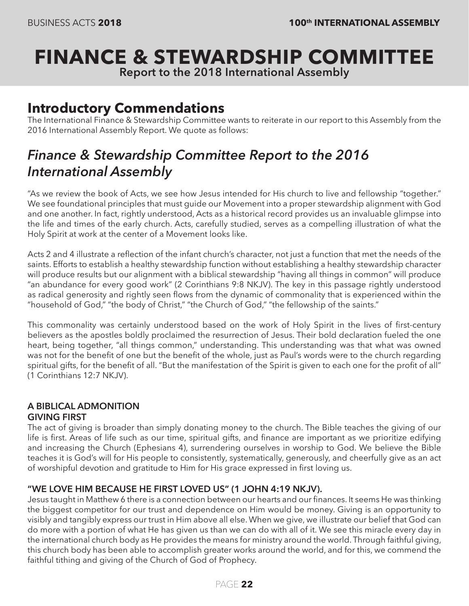# **FINANCE & STEWARDSHIP COMMITTEE**

**Report to the 2018 International Assembly**

### **Introductory Commendations**

The International Finance & Stewardship Committee wants to reiterate in our report to this Assembly from the 2016 International Assembly Report. We quote as follows:

### *Finance & Stewardship Committee Report to the 2016 International Assembly*

"As we review the book of Acts, we see how Jesus intended for His church to live and fellowship "together." We see foundational principles that must guide our Movement into a proper stewardship alignment with God and one another. In fact, rightly understood, Acts as a historical record provides us an invaluable glimpse into the life and times of the early church. Acts, carefully studied, serves as a compelling illustration of what the Holy Spirit at work at the center of a Movement looks like.

Acts 2 and 4 illustrate a reflection of the infant church's character, not just a function that met the needs of the saints. Efforts to establish a healthy stewardship function without establishing a healthy stewardship character will produce results but our alignment with a biblical stewardship "having all things in common" will produce "an abundance for every good work" (2 Corinthians 9:8 NKJV). The key in this passage rightly understood as radical generosity and rightly seen flows from the dynamic of commonality that is experienced within the "household of God," "the body of Christ," "the Church of God," "the fellowship of the saints."

This commonality was certainly understood based on the work of Holy Spirit in the lives of first-century believers as the apostles boldly proclaimed the resurrection of Jesus. Their bold declaration fueled the one heart, being together, "all things common," understanding. This understanding was that what was owned was not for the benefit of one but the benefit of the whole, just as Paul's words were to the church regarding spiritual gifts, for the benefit of all. "But the manifestation of the Spirit is given to each one for the profit of all" (1 Corinthians 12:7 NKJV).

### **A BIBLICAL ADMONITION**

**GIVING FIRST** The act of giving is broader than simply donating money to the church. The Bible teaches the giving of our life is first. Areas of life such as our time, spiritual gifts, and finance are important as we prioritize edifying and increasing the Church (Ephesians 4), surrendering ourselves in worship to God. We believe the Bible teaches it is God's will for His people to consistently, systematically, generously, and cheerfully give as an act of worshipful devotion and gratitude to Him for His grace expressed in first loving us.

#### **"WE LOVE HIM BECAUSE HE FIRST LOVED US" (1 JOHN 4:19 NKJV).**

Jesus taught in Matthew 6 there is a connection between our hearts and our finances. It seems He was thinking the biggest competitor for our trust and dependence on Him would be money. Giving is an opportunity to visibly and tangibly express our trust in Him above all else. When we give, we illustrate our belief that God can do more with a portion of what He has given us than we can do with all of it. We see this miracle every day in the international church body as He provides the means for ministry around the world. Through faithful giving, this church body has been able to accomplish greater works around the world, and for this, we commend the faithful tithing and giving of the Church of God of Prophecy.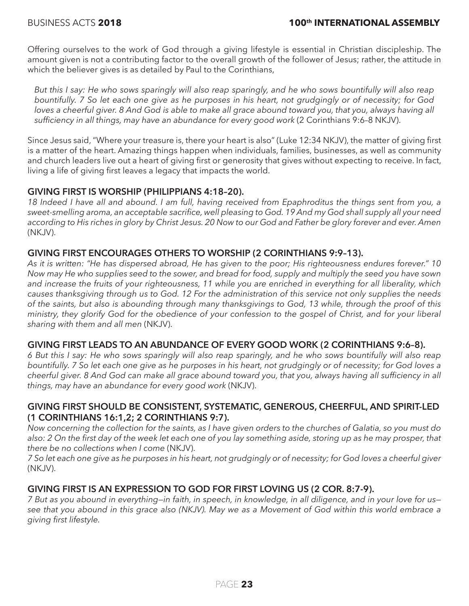Offering ourselves to the work of God through a giving lifestyle is essential in Christian discipleship. The amount given is not a contributing factor to the overall growth of the follower of Jesus; rather, the attitude in which the believer gives is as detailed by Paul to the Corinthians,

*But this I say: He who sows sparingly will also reap sparingly, and he who sows bountifully will also reap bountifully. 7 So let each one give as he purposes in his heart, not grudgingly or of necessity; for God loves a cheerful giver. 8 And God is able to make all grace abound toward you, that you, always having all sufficiency in all things, may have an abundance for every good work* (2 Corinthians 9:6–8 NKJV).

Since Jesus said, "Where your treasure is, there your heart is also" (Luke 12:34 NKJV), the matter of giving first is a matter of the heart. Amazing things happen when individuals, families, businesses, as well as community and church leaders live out a heart of giving first or generosity that gives without expecting to receive. In fact, living a life of giving first leaves a legacy that impacts the world.

#### **GIVING FIRST IS WORSHIP (PHILIPPIANS 4:18–20).**

*18 Indeed I have all and abound. I am full, having received from Epaphroditus the things sent from you, a sweet-smelling aroma, an acceptable sacrifice, well pleasing to God. 19 And my God shall supply all your need according to His riches in glory by Christ Jesus. 20 Now to our God and Father be glory forever and ever. Amen*  (NKJV).

#### **GIVING FIRST ENCOURAGES OTHERS TO WORSHIP (2 CORINTHIANS 9:9–13).**

*As it is written: "He has dispersed abroad, He has given to the poor; His righteousness endures forever." 10 Now may He who supplies seed to the sower, and bread for food, supply and multiply the seed you have sown and increase the fruits of your righteousness, 11 while you are enriched in everything for all liberality, which causes thanksgiving through us to God. 12 For the administration of this service not only supplies the needs of the saints, but also is abounding through many thanksgivings to God, 13 while, through the proof of this ministry, they glorify God for the obedience of your confession to the gospel of Christ, and for your liberal sharing with them and all men* (NKJV).

#### **GIVING FIRST LEADS TO AN ABUNDANCE OF EVERY GOOD WORK (2 CORINTHIANS 9:6–8).**

*6 But this I say: He who sows sparingly will also reap sparingly, and he who sows bountifully will also reap bountifully. 7 So let each one give as he purposes in his heart, not grudgingly or of necessity; for God loves a*  cheerful giver. 8 And God can make all grace abound toward you, that you, always having all sufficiency in all *things, may have an abundance for every good work* (NKJV).

#### **GIVING FIRST SHOULD BE CONSISTENT, SYSTEMATIC, GENEROUS, CHEERFUL, AND SPIRIT-LED (1 CORINTHIANS 16:1,2; 2 CORINTHIANS 9:7).**

*Now concerning the collection for the saints, as I have given orders to the churches of Galatia, so you must do*  also: 2 On the first day of the week let each one of you lay something aside, storing up as he may prosper, that *there be no collections when I come* (NKJV).

*7 So let each one give as he purposes in his heart, not grudgingly or of necessity; for God loves a cheerful giver* (NKJV).

#### **GIVING FIRST IS AN EXPRESSION TO GOD FOR FIRST LOVING US (2 COR. 8:7-9).**

*7 But as you abound in everything—in faith, in speech, in knowledge, in all diligence, and in your love for us see that you abound in this grace also (NKJV). May we as a Movement of God within this world embrace a giving first lifestyle.*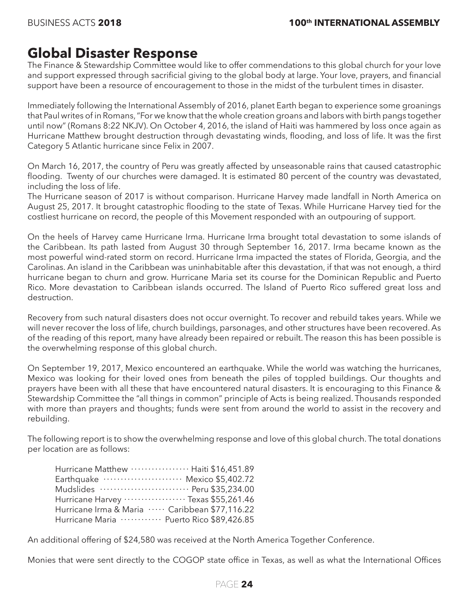### **Global Disaster Response**

The Finance & Stewardship Committee would like to offer commendations to this global church for your love and support expressed through sacrificial giving to the global body at large. Your love, prayers, and financial support have been a resource of encouragement to those in the midst of the turbulent times in disaster.

Immediately following the International Assembly of 2016, planet Earth began to experience some groanings that Paul writes of in Romans, "For we know that the whole creation groans and labors with birth pangs together until now" (Romans 8:22 NKJV). On October 4, 2016, the island of Haiti was hammered by loss once again as Hurricane Matthew brought destruction through devastating winds, flooding, and loss of life. It was the first Category 5 Atlantic hurricane since Felix in 2007.

On March 16, 2017, the country of Peru was greatly affected by unseasonable rains that caused catastrophic flooding. Twenty of our churches were damaged. It is estimated 80 percent of the country was devastated, including the loss of life.

The Hurricane season of 2017 is without comparison. Hurricane Harvey made landfall in North America on August 25, 2017. It brought catastrophic flooding to the state of Texas. While Hurricane Harvey tied for the costliest hurricane on record, the people of this Movement responded with an outpouring of support.

On the heels of Harvey came Hurricane Irma. Hurricane Irma brought total devastation to some islands of the Caribbean. Its path lasted from August 30 through September 16, 2017. Irma became known as the most powerful wind-rated storm on record. Hurricane Irma impacted the states of Florida, Georgia, and the Carolinas. An island in the Caribbean was uninhabitable after this devastation, if that was not enough, a third hurricane began to churn and grow. Hurricane Maria set its course for the Dominican Republic and Puerto Rico. More devastation to Caribbean islands occurred. The Island of Puerto Rico suffered great loss and destruction.

Recovery from such natural disasters does not occur overnight. To recover and rebuild takes years. While we will never recover the loss of life, church buildings, parsonages, and other structures have been recovered. As of the reading of this report, many have already been repaired or rebuilt. The reason this has been possible is the overwhelming response of this global church.

On September 19, 2017, Mexico encountered an earthquake. While the world was watching the hurricanes, Mexico was looking for their loved ones from beneath the piles of toppled buildings. Our thoughts and prayers have been with all these that have encountered natural disasters. It is encouraging to this Finance & Stewardship Committee the "all things in common" principle of Acts is being realized. Thousands responded with more than prayers and thoughts; funds were sent from around the world to assist in the recovery and rebuilding.

The following report is to show the overwhelming response and love of this global church. The total donations per location are as follows:

| Hurricane Matthew ……………… Haiti \$16,451.89           |  |
|------------------------------------------------------|--|
| Earthquake  Mexico \$5,402.72                        |  |
| Mudslides  Peru \$35,234.00                          |  |
| Hurricane Harvey ……………… Texas \$55,261.46            |  |
| Hurricane Irma & Maria ····· Caribbean \$77,116.22   |  |
| Hurricane Maria ············ Puerto Rico \$89,426.85 |  |

An additional offering of \$24,580 was received at the North America Together Conference.

Monies that were sent directly to the COGOP state office in Texas, as well as what the International Offices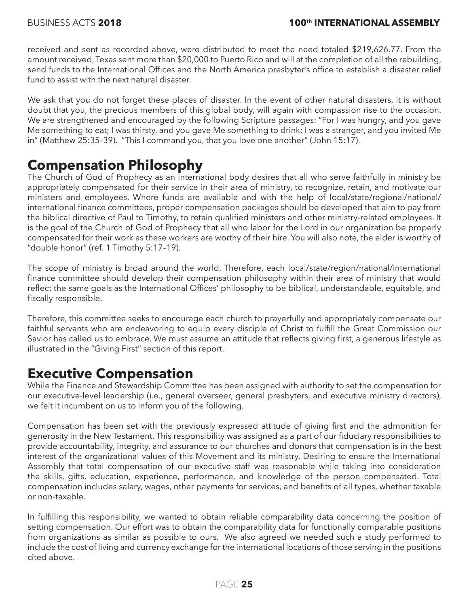received and sent as recorded above, were distributed to meet the need totaled \$219,626.77. From the amount received, Texas sent more than \$20,000 to Puerto Rico and will at the completion of all the rebuilding, send funds to the International Offices and the North America presbyter's office to establish a disaster relief fund to assist with the next natural disaster.

We ask that you do not forget these places of disaster. In the event of other natural disasters, it is without doubt that you, the precious members of this global body, will again with compassion rise to the occasion. We are strengthened and encouraged by the following Scripture passages: "For I was hungry, and you gave Me something to eat; I was thirsty, and you gave Me something to drink; I was a stranger, and you invited Me in" (Matthew 25:35–39). "This I command you, that you love one another" (John 15:17).

#### **Compensation Philosophy**

The Church of God of Prophecy as an international body desires that all who serve faithfully in ministry be appropriately compensated for their service in their area of ministry, to recognize, retain, and motivate our ministers and employees. Where funds are available and with the help of local/state/regional/national/ international finance committees, proper compensation packages should be developed that aim to pay from the biblical directive of Paul to Timothy, to retain qualified ministers and other ministry-related employees. It is the goal of the Church of God of Prophecy that all who labor for the Lord in our organization be properly compensated for their work as these workers are worthy of their hire. You will also note, the elder is worthy of "double honor" (ref. 1 Timothy 5:17–19).

The scope of ministry is broad around the world. Therefore, each local/state/region/national/international finance committee should develop their compensation philosophy within their area of ministry that would reflect the same goals as the International Offices' philosophy to be biblical, understandable, equitable, and fiscally responsible.

Therefore, this committee seeks to encourage each church to prayerfully and appropriately compensate our faithful servants who are endeavoring to equip every disciple of Christ to fulfill the Great Commission our Savior has called us to embrace. We must assume an attitude that reflects giving first, a generous lifestyle as illustrated in the "Giving First" section of this report.

### **Executive Compensation**

While the Finance and Stewardship Committee has been assigned with authority to set the compensation for our executive-level leadership (i.e., general overseer, general presbyters, and executive ministry directors), we felt it incumbent on us to inform you of the following.

Compensation has been set with the previously expressed attitude of giving first and the admonition for generosity in the New Testament. This responsibility was assigned as a part of our fiduciary responsibilities to provide accountability, integrity, and assurance to our churches and donors that compensation is in the best interest of the organizational values of this Movement and its ministry. Desiring to ensure the International Assembly that total compensation of our executive staff was reasonable while taking into consideration the skills, gifts, education, experience, performance, and knowledge of the person compensated. Total compensation includes salary, wages, other payments for services, and benefits of all types, whether taxable or non-taxable.

In fulfilling this responsibility, we wanted to obtain reliable comparability data concerning the position of setting compensation. Our effort was to obtain the comparability data for functionally comparable positions from organizations as similar as possible to ours. We also agreed we needed such a study performed to include the cost of living and currency exchange for the international locations of those serving in the positions cited above.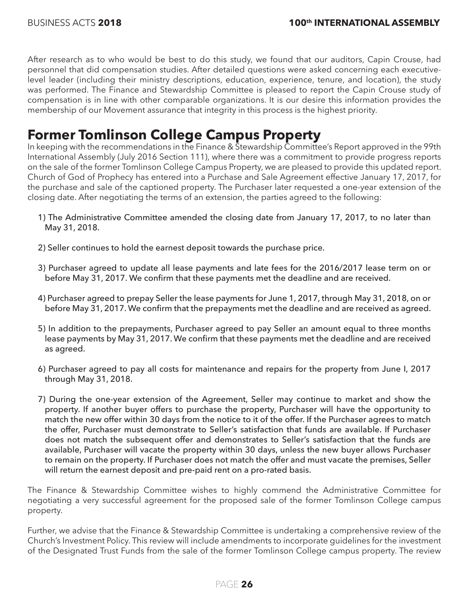After research as to who would be best to do this study, we found that our auditors, Capin Crouse, had personnel that did compensation studies. After detailed questions were asked concerning each executivelevel leader (including their ministry descriptions, education, experience, tenure, and location), the study was performed. The Finance and Stewardship Committee is pleased to report the Capin Crouse study of compensation is in line with other comparable organizations. It is our desire this information provides the membership of our Movement assurance that integrity in this process is the highest priority.

### **Former Tomlinson College Campus Property**

In keeping with the recommendations in the Finance & Stewardship Committee's Report approved in the 99th International Assembly (July 2016 Section 111), where there was a commitment to provide progress reports on the sale of the former Tomlinson College Campus Property, we are pleased to provide this updated report. Church of God of Prophecy has entered into a Purchase and Sale Agreement effective January 17, 2017, for the purchase and sale of the captioned property. The Purchaser later requested a one-year extension of the closing date. After negotiating the terms of an extension, the parties agreed to the following:

- 1) The Administrative Committee amended the closing date from January 17, 2017, to no later than May 31, 2018.
- 2) Seller continues to hold the earnest deposit towards the purchase price.
- 3) Purchaser agreed to update all lease payments and late fees for the 2016/2017 lease term on or before May 31, 2017. We confirm that these payments met the deadline and are received.
- 4) Purchaser agreed to prepay Seller the lease payments for June 1, 2017, through May 31, 2018, on or before May 31, 2017. We confirm that the prepayments met the deadline and are received as agreed.
- 5) In addition to the prepayments, Purchaser agreed to pay Seller an amount equal to three months lease payments by May 31, 2017. We confirm that these payments met the deadline and are received as agreed.
- 6) Purchaser agreed to pay all costs for maintenance and repairs for the property from June I, 2017 through May 31, 2018.
- 7) During the one-year extension of the Agreement, Seller may continue to market and show the property. If another buyer offers to purchase the property, Purchaser will have the opportunity to match the new offer within 30 days from the notice to it of the offer. If the Purchaser agrees to match the offer, Purchaser must demonstrate to Seller's satisfaction that funds are available. If Purchaser does not match the subsequent offer and demonstrates to Seller's satisfaction that the funds are available, Purchaser will vacate the property within 30 days, unless the new buyer allows Purchaser to remain on the property. If Purchaser does not match the offer and must vacate the premises, Seller will return the earnest deposit and pre-paid rent on a pro-rated basis.

The Finance & Stewardship Committee wishes to highly commend the Administrative Committee for negotiating a very successful agreement for the proposed sale of the former Tomlinson College campus property.

Further, we advise that the Finance & Stewardship Committee is undertaking a comprehensive review of the Church's Investment Policy. This review will include amendments to incorporate guidelines for the investment of the Designated Trust Funds from the sale of the former Tomlinson College campus property. The review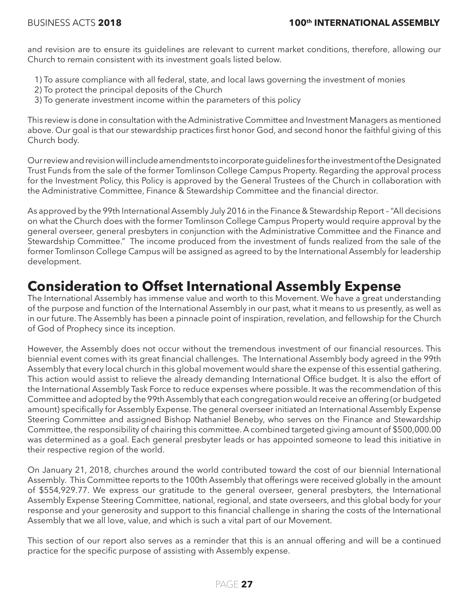and revision are to ensure its guidelines are relevant to current market conditions, therefore, allowing our Church to remain consistent with its investment goals listed below.

- 1) To assure compliance with all federal, state, and local laws governing the investment of monies
- 2) To protect the principal deposits of the Church
- 3) To generate investment income within the parameters of this policy

This review is done in consultation with the Administrative Committee and Investment Managers as mentioned above. Our goal is that our stewardship practices first honor God, and second honor the faithful giving of this Church body.

Our review and revision will include amendments to incorporate guidelines for the investment of the Designated Trust Funds from the sale of the former Tomlinson College Campus Property. Regarding the approval process for the Investment Policy, this Policy is approved by the General Trustees of the Church in collaboration with the Administrative Committee, Finance & Stewardship Committee and the financial director.

As approved by the 99th International Assembly July 2016 in the Finance & Stewardship Report – "All decisions on what the Church does with the former Tomlinson College Campus Property would require approval by the general overseer, general presbyters in conjunction with the Administrative Committee and the Finance and Stewardship Committee." The income produced from the investment of funds realized from the sale of the former Tomlinson College Campus will be assigned as agreed to by the International Assembly for leadership development.

### **Consideration to Offset International Assembly Expense**

The International Assembly has immense value and worth to this Movement. We have a great understanding of the purpose and function of the International Assembly in our past, what it means to us presently, as well as in our future. The Assembly has been a pinnacle point of inspiration, revelation, and fellowship for the Church of God of Prophecy since its inception.

However, the Assembly does not occur without the tremendous investment of our financial resources. This biennial event comes with its great financial challenges. The International Assembly body agreed in the 99th Assembly that every local church in this global movement would share the expense of this essential gathering. This action would assist to relieve the already demanding International Office budget. It is also the effort of the International Assembly Task Force to reduce expenses where possible. It was the recommendation of this Committee and adopted by the 99th Assembly that each congregation would receive an offering (or budgeted amount) specifically for Assembly Expense. The general overseer initiated an International Assembly Expense Steering Committee and assigned Bishop Nathaniel Beneby, who serves on the Finance and Stewardship Committee, the responsibility of chairing this committee. A combined targeted giving amount of \$500,000.00 was determined as a goal. Each general presbyter leads or has appointed someone to lead this initiative in their respective region of the world.

On January 21, 2018, churches around the world contributed toward the cost of our biennial International Assembly. This Committee reports to the 100th Assembly that offerings were received globally in the amount of \$554,929.77. We express our gratitude to the general overseer, general presbyters, the International Assembly Expense Steering Committee, national, regional, and state overseers, and this global body for your response and your generosity and support to this financial challenge in sharing the costs of the International Assembly that we all love, value, and which is such a vital part of our Movement.

This section of our report also serves as a reminder that this is an annual offering and will be a continued practice for the specific purpose of assisting with Assembly expense.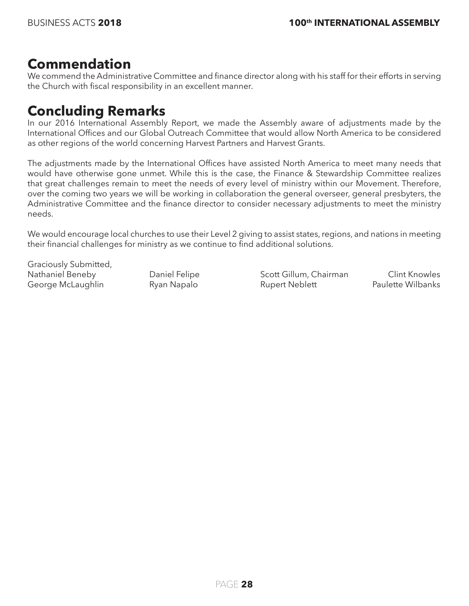#### **Commendation**

We commend the Administrative Committee and finance director along with his staff for their efforts in serving the Church with fiscal responsibility in an excellent manner.

#### **Concluding Remarks**

In our 2016 International Assembly Report, we made the Assembly aware of adjustments made by the International Offices and our Global Outreach Committee that would allow North America to be considered as other regions of the world concerning Harvest Partners and Harvest Grants.

The adjustments made by the International Offices have assisted North America to meet many needs that would have otherwise gone unmet. While this is the case, the Finance & Stewardship Committee realizes that great challenges remain to meet the needs of every level of ministry within our Movement. Therefore, over the coming two years we will be working in collaboration the general overseer, general presbyters, the Administrative Committee and the finance director to consider necessary adjustments to meet the ministry needs.

We would encourage local churches to use their Level 2 giving to assist states, regions, and nations in meeting their financial challenges for ministry as we continue to find additional solutions.

Graciously Submitted,

Nathaniel Beneby **Daniel Felipe** Scott Gillum, Chairman Clint Knowles George McLaughlin **Ryan Napalo** Rupert Neblett **Paulette Wilbanks**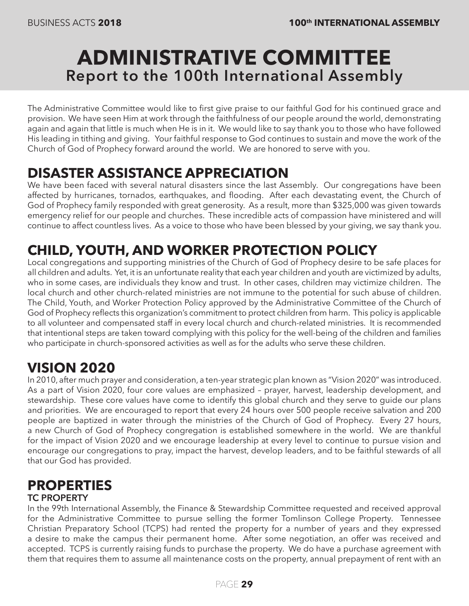### **ADMINISTRATIVE COMMITTEE Report to the 100th International Assembly**

The Administrative Committee would like to first give praise to our faithful God for his continued grace and provision. We have seen Him at work through the faithfulness of our people around the world, demonstrating again and again that little is much when He is in it. We would like to say thank you to those who have followed His leading in tithing and giving. Your faithful response to God continues to sustain and move the work of the Church of God of Prophecy forward around the world. We are honored to serve with you.

### **DISASTER ASSISTANCE APPRECIATION**

We have been faced with several natural disasters since the last Assembly. Our congregations have been affected by hurricanes, tornados, earthquakes, and flooding. After each devastating event, the Church of God of Prophecy family responded with great generosity. As a result, more than \$325,000 was given towards emergency relief for our people and churches. These incredible acts of compassion have ministered and will continue to affect countless lives. As a voice to those who have been blessed by your giving, we say thank you.

### **CHILD, YOUTH, AND WORKER PROTECTION POLICY**

Local congregations and supporting ministries of the Church of God of Prophecy desire to be safe places for all children and adults. Yet, it is an unfortunate reality that each year children and youth are victimized by adults, who in some cases, are individuals they know and trust. In other cases, children may victimize children. The local church and other church-related ministries are not immune to the potential for such abuse of children. The Child, Youth, and Worker Protection Policy approved by the Administrative Committee of the Church of God of Prophecy reflects this organization's commitment to protect children from harm. This policy is applicable to all volunteer and compensated staff in every local church and church-related ministries. It is recommended that intentional steps are taken toward complying with this policy for the well-being of the children and families who participate in church-sponsored activities as well as for the adults who serve these children.

### **VISION 2020**

In 2010, after much prayer and consideration, a ten-year strategic plan known as "Vision 2020" was introduced. As a part of Vision 2020, four core values are emphasized – prayer, harvest, leadership development, and stewardship. These core values have come to identify this global church and they serve to guide our plans and priorities. We are encouraged to report that every 24 hours over 500 people receive salvation and 200 people are baptized in water through the ministries of the Church of God of Prophecy. Every 27 hours, a new Church of God of Prophecy congregation is established somewhere in the world. We are thankful for the impact of Vision 2020 and we encourage leadership at every level to continue to pursue vision and encourage our congregations to pray, impact the harvest, develop leaders, and to be faithful stewards of all that our God has provided.

### **PROPERTIES**

#### **TC PROPERTY**

In the 99th International Assembly, the Finance & Stewardship Committee requested and received approval for the Administrative Committee to pursue selling the former Tomlinson College Property. Tennessee Christian Preparatory School (TCPS) had rented the property for a number of years and they expressed a desire to make the campus their permanent home. After some negotiation, an offer was received and accepted. TCPS is currently raising funds to purchase the property. We do have a purchase agreement with them that requires them to assume all maintenance costs on the property, annual prepayment of rent with an